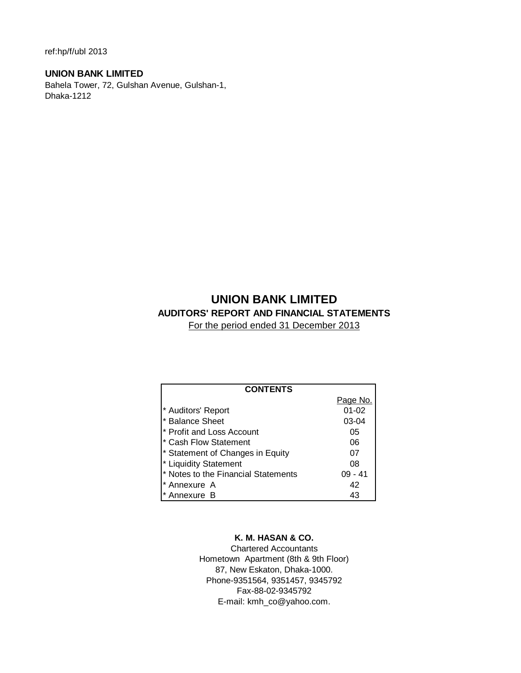ref:hp/f/ubl 2013

# **UNION BANK LIMITED**

Bahela Tower, 72, Gulshan Avenue, Gulshan-1, Dhaka-1212

# **UNION BANK LIMITED AUDITORS' REPORT AND FINANCIAL STATEMENTS**

For the period ended 31 December 2013

| <b>CONTENTS</b>                     |           |
|-------------------------------------|-----------|
|                                     | Page No.  |
| * Auditors' Report                  | $01 - 02$ |
| * Balance Sheet                     | $03-04$   |
| * Profit and Loss Account           | 05        |
| * Cash Flow Statement               | 06        |
| * Statement of Changes in Equity    | 07        |
| * Liquidity Statement               | 08        |
| * Notes to the Financial Statements | $09 - 41$ |
| * Annexure A                        | 42        |
| Annexure B                          | 43        |

# **K. M. HASAN & CO.**

Chartered Accountants Hometown Apartment (8th & 9th Floor) 87, New Eskaton, Dhaka-1000. Phone-9351564, 9351457, 9345792 Fax-88-02-9345792 E-mail: kmh\_co@yahoo.com.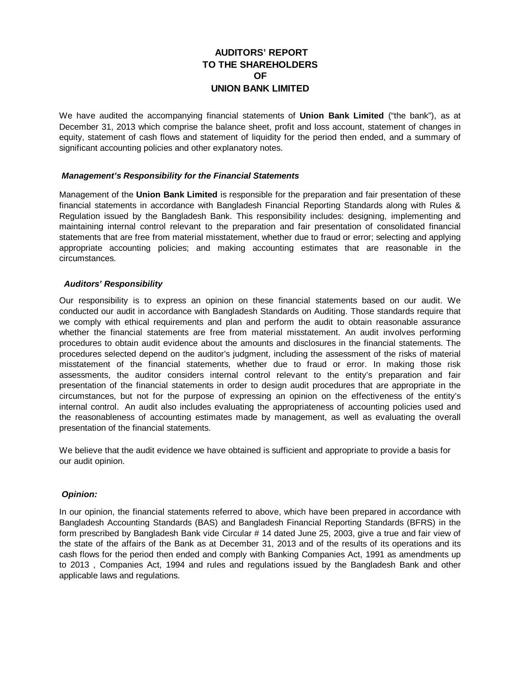# **AUDITORS' REPORT TO THE SHAREHOLDERS OF UNION BANK LIMITED**

We have audited the accompanying financial statements of **Union Bank Limited** ("the bank"), as at December 31, 2013 which comprise the balance sheet, profit and loss account, statement of changes in equity, statement of cash flows and statement of liquidity for the period then ended, and a summary of significant accounting policies and other explanatory notes.

# *Management's Responsibility for the Financial Statements*

Management of the **Union Bank Limited** is responsible for the preparation and fair presentation of these financial statements in accordance with Bangladesh Financial Reporting Standards along with Rules & Regulation issued by the Bangladesh Bank. This responsibility includes: designing, implementing and maintaining internal control relevant to the preparation and fair presentation of consolidated financial statements that are free from material misstatement, whether due to fraud or error; selecting and applying appropriate accounting policies; and making accounting estimates that are reasonable in the circumstances.

# *Auditors' Responsibility*

Our responsibility is to express an opinion on these financial statements based on our audit. We conducted our audit in accordance with Bangladesh Standards on Auditing. Those standards require that we comply with ethical requirements and plan and perform the audit to obtain reasonable assurance whether the financial statements are free from material misstatement. An audit involves performing procedures to obtain audit evidence about the amounts and disclosures in the financial statements. The procedures selected depend on the auditor's judgment, including the assessment of the risks of material misstatement of the financial statements, whether due to fraud or error. In making those risk assessments, the auditor considers internal control relevant to the entity's preparation and fair presentation of the financial statements in order to design audit procedures that are appropriate in the circumstances, but not for the purpose of expressing an opinion on the effectiveness of the entity's internal control. An audit also includes evaluating the appropriateness of accounting policies used and the reasonableness of accounting estimates made by management, as well as evaluating the overall presentation of the financial statements.

We believe that the audit evidence we have obtained is sufficient and appropriate to provide a basis for our audit opinion.

# *Opinion:*

In our opinion, the financial statements referred to above, which have been prepared in accordance with Bangladesh Accounting Standards (BAS) and Bangladesh Financial Reporting Standards (BFRS) in the form prescribed by Bangladesh Bank vide Circular # 14 dated June 25, 2003, give a true and fair view of the state of the affairs of the Bank as at December 31, 2013 and of the results of its operations and its cash flows for the period then ended and comply with Banking Companies Act, 1991 as amendments up to 2013 , Companies Act, 1994 and rules and regulations issued by the Bangladesh Bank and other applicable laws and regulations.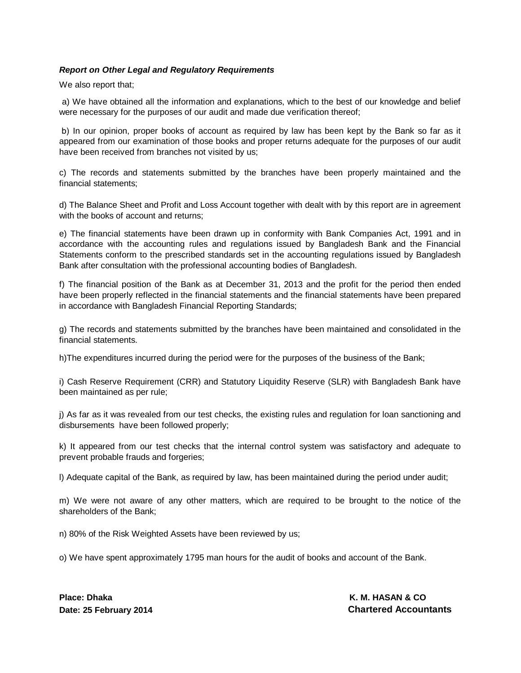# *Report on Other Legal and Regulatory Requirements*

We also report that;

a) We have obtained all the information and explanations, which to the best of our knowledge and belief were necessary for the purposes of our audit and made due verification thereof;

 b) In our opinion, proper books of account as required by law has been kept by the Bank so far as it appeared from our examination of those books and proper returns adequate for the purposes of our audit have been received from branches not visited by us;

c) The records and statements submitted by the branches have been properly maintained and the financial statements;

d) The Balance Sheet and Profit and Loss Account together with dealt with by this report are in agreement with the books of account and returns;

e) The financial statements have been drawn up in conformity with Bank Companies Act, 1991 and in accordance with the accounting rules and regulations issued by Bangladesh Bank and the Financial Statements conform to the prescribed standards set in the accounting regulations issued by Bangladesh Bank after consultation with the professional accounting bodies of Bangladesh.

f) The financial position of the Bank as at December 31, 2013 and the profit for the period then ended have been properly reflected in the financial statements and the financial statements have been prepared in accordance with Bangladesh Financial Reporting Standards;

g) The records and statements submitted by the branches have been maintained and consolidated in the financial statements.

h)The expenditures incurred during the period were for the purposes of the business of the Bank;

i) Cash Reserve Requirement (CRR) and Statutory Liquidity Reserve (SLR) with Bangladesh Bank have been maintained as per rule;

j) As far as it was revealed from our test checks, the existing rules and regulation for loan sanctioning and disbursements have been followed properly;

k) It appeared from our test checks that the internal control system was satisfactory and adequate to prevent probable frauds and forgeries;

l) Adequate capital of the Bank, as required by law, has been maintained during the period under audit;

m) We were not aware of any other matters, which are required to be brought to the notice of the shareholders of the Bank;

n) 80% of the Risk Weighted Assets have been reviewed by us;

o) We have spent approximately 1795 man hours for the audit of books and account of the Bank.

**Place: Dhaka K. M. HASAN & CO.** A R. M. HASAN & CO. A R. M. HASAN & CO. A R. M. HASAN & CO.

**Date: 25 February 2014 Chartered Accountants**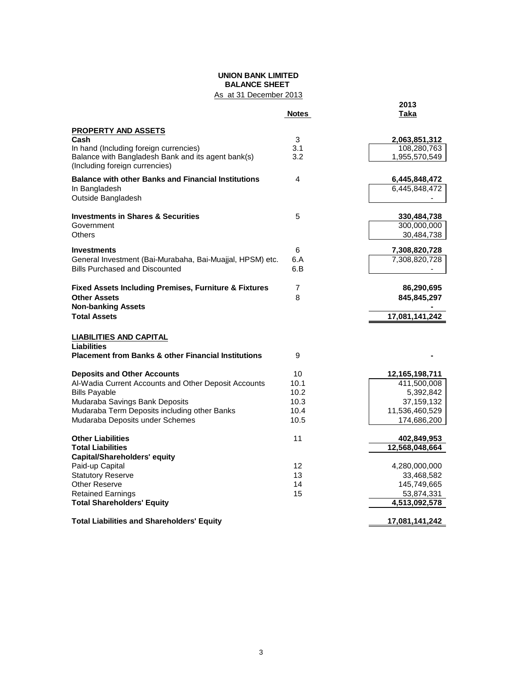# **UNION BANK LIMITED BALANCE SHEET**

# As at 31 December 2013

|                                                                                      | <b>Notes</b> | 2013<br>Taka   |
|--------------------------------------------------------------------------------------|--------------|----------------|
|                                                                                      |              |                |
| <b>PROPERTY AND ASSETS</b><br>Cash                                                   | 3            | 2,063,851,312  |
| In hand (Including foreign currencies)                                               | 3.1          | 108,280,763    |
| Balance with Bangladesh Bank and its agent bank(s)<br>(Including foreign currencies) | 3.2          | 1,955,570,549  |
| <b>Balance with other Banks and Financial Institutions</b>                           | 4            | 6,445,848,472  |
| In Bangladesh                                                                        |              | 6,445,848,472  |
| Outside Bangladesh                                                                   |              |                |
| <b>Investments in Shares &amp; Securities</b>                                        | 5            | 330,484,738    |
| Government                                                                           |              | 300,000,000    |
| Others                                                                               |              | 30,484,738     |
| <b>Investments</b>                                                                   | 6            | 7,308,820,728  |
| General Investment (Bai-Murabaha, Bai-Muajjal, HPSM) etc.                            | 6.A          | 7,308,820,728  |
| <b>Bills Purchased and Discounted</b>                                                | 6.B          |                |
| <b>Fixed Assets Including Premises, Furniture &amp; Fixtures</b>                     | 7            | 86,290,695     |
| <b>Other Assets</b><br><b>Non-banking Assets</b>                                     | 8            | 845,845,297    |
| <b>Total Assets</b>                                                                  |              | 17,081,141,242 |
| <b>LIABILITIES AND CAPITAL</b>                                                       |              |                |
| <b>Liabilities</b><br><b>Placement from Banks &amp; other Financial Institutions</b> | 9            |                |
| <b>Deposits and Other Accounts</b>                                                   | 10           | 12,165,198,711 |
| Al-Wadia Current Accounts and Other Deposit Accounts                                 | 10.1         | 411,500,008    |
| <b>Bills Payable</b>                                                                 | 10.2         | 5,392,842      |
| Mudaraba Savings Bank Deposits                                                       | 10.3         | 37, 159, 132   |
| Mudaraba Term Deposits including other Banks                                         | 10.4         | 11,536,460,529 |
| Mudaraba Deposits under Schemes                                                      | 10.5         | 174,686,200    |
| <b>Other Liabilities</b>                                                             | 11           | 402,849,953    |
| <b>Total Liabilities</b>                                                             |              | 12,568,048,664 |
| <b>Capital/Shareholders' equity</b>                                                  |              |                |
| Paid-up Capital                                                                      | 12           | 4,280,000,000  |
| <b>Statutory Reserve</b>                                                             | 13           | 33,468,582     |
| <b>Other Reserve</b>                                                                 | 14           | 145,749,665    |
| <b>Retained Earnings</b>                                                             | 15           | 53,874,331     |
| <b>Total Shareholders' Equity</b>                                                    |              | 4,513,092,578  |
| <b>Total Liabilities and Shareholders' Equity</b>                                    |              | 17,081,141,242 |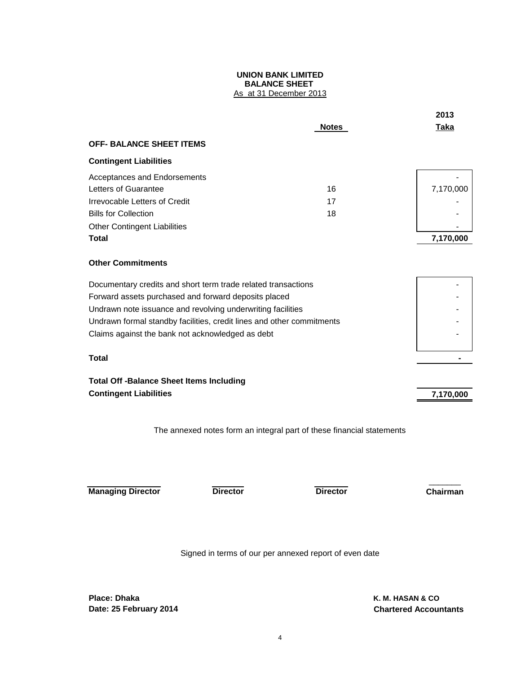### **UNION BANK LIMITED BALANCE SHEET**  As at 31 December 2013

|                                                                                                                                                                                                                                                                                                                                                                               |                 | <b>Notes</b>                                                          | 2013<br>Taka |
|-------------------------------------------------------------------------------------------------------------------------------------------------------------------------------------------------------------------------------------------------------------------------------------------------------------------------------------------------------------------------------|-----------------|-----------------------------------------------------------------------|--------------|
| <b>OFF- BALANCE SHEET ITEMS</b>                                                                                                                                                                                                                                                                                                                                               |                 |                                                                       |              |
|                                                                                                                                                                                                                                                                                                                                                                               |                 |                                                                       |              |
| <b>Contingent Liabilities</b>                                                                                                                                                                                                                                                                                                                                                 |                 |                                                                       |              |
| Acceptances and Endorsements                                                                                                                                                                                                                                                                                                                                                  |                 |                                                                       |              |
| Letters of Guarantee                                                                                                                                                                                                                                                                                                                                                          |                 | 16                                                                    | 7,170,000    |
| Irrevocable Letters of Credit                                                                                                                                                                                                                                                                                                                                                 |                 | 17                                                                    |              |
| <b>Bills for Collection</b>                                                                                                                                                                                                                                                                                                                                                   |                 | 18                                                                    |              |
| <b>Other Contingent Liabilities</b>                                                                                                                                                                                                                                                                                                                                           |                 |                                                                       |              |
| Total                                                                                                                                                                                                                                                                                                                                                                         |                 |                                                                       | 7,170,000    |
| <b>Other Commitments</b>                                                                                                                                                                                                                                                                                                                                                      |                 |                                                                       |              |
| Documentary credits and short term trade related transactions<br>Forward assets purchased and forward deposits placed<br>Undrawn note issuance and revolving underwriting facilities<br>Undrawn formal standby facilities, credit lines and other commitments<br>Claims against the bank not acknowledged as debt<br>Total<br><b>Total Off -Balance Sheet Items Including</b> |                 |                                                                       |              |
| <b>Contingent Liabilities</b>                                                                                                                                                                                                                                                                                                                                                 |                 |                                                                       | 7,170,000    |
|                                                                                                                                                                                                                                                                                                                                                                               |                 | The annexed notes form an integral part of these financial statements |              |
| <b>Managing Director</b>                                                                                                                                                                                                                                                                                                                                                      | <b>Director</b> | <b>Director</b>                                                       | Chairman     |

Signed in terms of our per annexed report of even date

**Place: Dhaka K. M. HASAN & CO Date: 25 February 2014 Chartered Accountants**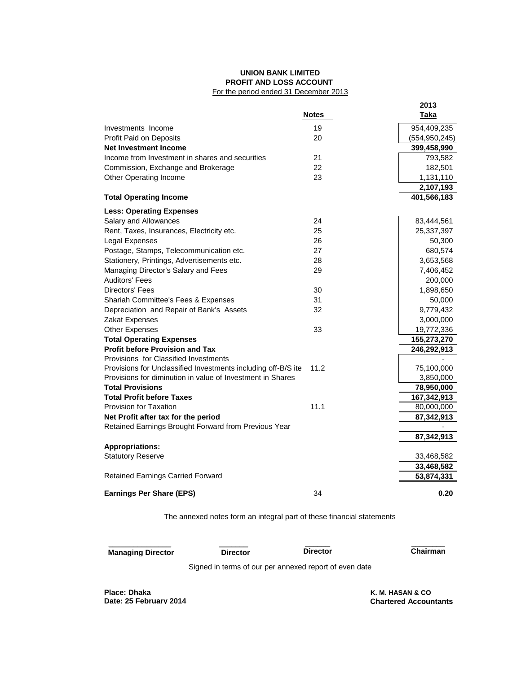#### **UNION BANK LIMITED PROFIT AND LOSS ACCOUNT**  For the period ended 31 December 2013

|                                                               |              | 2013            |
|---------------------------------------------------------------|--------------|-----------------|
|                                                               | <b>Notes</b> | Taka            |
| Investments Income                                            | 19           | 954,409,235     |
| Profit Paid on Deposits                                       | 20           | (554, 950, 245) |
| <b>Net Investment Income</b>                                  |              | 399,458,990     |
| Income from Investment in shares and securities               | 21           | 793,582         |
| Commission, Exchange and Brokerage                            | 22           | 182,501         |
| Other Operating Income                                        | 23           | 1,131,110       |
|                                                               |              | 2,107,193       |
| <b>Total Operating Income</b>                                 |              | 401,566,183     |
| <b>Less: Operating Expenses</b>                               |              |                 |
| Salary and Allowances                                         | 24           | 83,444,561      |
| Rent, Taxes, Insurances, Electricity etc.                     | 25           | 25,337,397      |
| Legal Expenses                                                | 26           | 50,300          |
| Postage, Stamps, Telecommunication etc.                       | 27           | 680,574         |
| Stationery, Printings, Advertisements etc.                    | 28           | 3,653,568       |
| Managing Director's Salary and Fees                           | 29           | 7,406,452       |
| Auditors' Fees                                                |              | 200,000         |
| Directors' Fees                                               | 30           | 1,898,650       |
| Shariah Committee's Fees & Expenses                           | 31           | 50,000          |
| Depreciation and Repair of Bank's Assets                      | 32           | 9,779,432       |
| Zakat Expenses                                                |              | 3,000,000       |
| <b>Other Expenses</b>                                         | 33           | 19,772,336      |
| <b>Total Operating Expenses</b>                               |              | 155,273,270     |
| <b>Profit before Provision and Tax</b>                        |              | 246,292,913     |
| Provisions for Classified Investments                         |              |                 |
| Provisions for Unclassified Investments including off-B/S ite | 11.2         | 75,100,000      |
| Provisions for diminution in value of Investment in Shares    |              | 3,850,000       |
| <b>Total Provisions</b>                                       |              | 78,950,000      |
| <b>Total Profit before Taxes</b>                              |              | 167,342,913     |
| Provision for Taxation                                        | 11.1         | 80,000,000      |
| Net Profit after tax for the period                           |              | 87,342,913      |
| Retained Earnings Brought Forward from Previous Year          |              |                 |
|                                                               |              | 87,342,913      |
| <b>Appropriations:</b>                                        |              |                 |
| <b>Statutory Reserve</b>                                      |              | 33,468,582      |
|                                                               |              | 33,468,582      |
| <b>Retained Earnings Carried Forward</b>                      |              | 53,874,331      |
| <b>Earnings Per Share (EPS)</b>                               | 34           | 0.20            |

The annexed notes form an integral part of these financial statements

 **Managing Director Director Director Chairman**

**\_\_\_\_\_\_\_\_\_\_\_\_\_\_\_ \_\_\_\_\_\_\_** \_\_\_\_\_\_ \_\_\_\_\_\_\_\_

Signed in terms of our per annexed report of even date

**Place: Dhaka Date: 25 February 2014**  **Chartered Accountants K. M. HASAN & CO**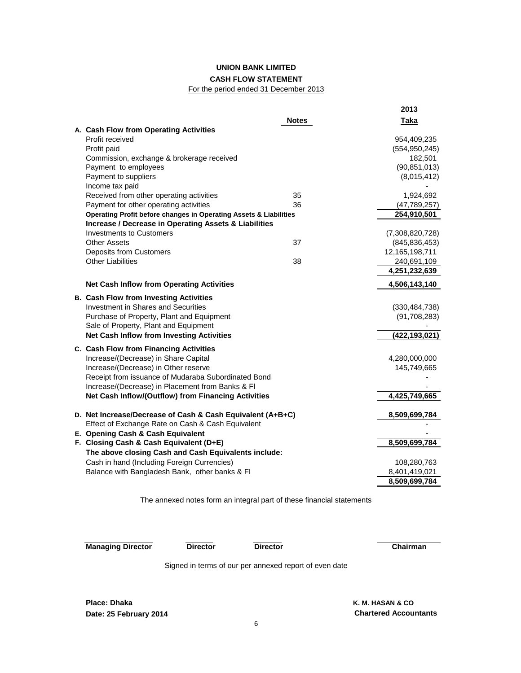# **UNION BANK LIMITED CASH FLOW STATEMENT**

# For the period ended 31 December 2013

|                                                                   | 2013            |
|-------------------------------------------------------------------|-----------------|
| <b>Notes</b>                                                      | <b>Taka</b>     |
| A. Cash Flow from Operating Activities                            |                 |
| Profit received                                                   | 954,409,235     |
| Profit paid                                                       | (554, 950, 245) |
| Commission, exchange & brokerage received                         | 182,501         |
| Payment to employees                                              | (90, 851, 013)  |
| Payment to suppliers                                              | (8,015,412)     |
| Income tax paid                                                   |                 |
| Received from other operating activities<br>35                    | 1,924,692       |
| Payment for other operating activities<br>36                      | (47, 789, 257)  |
| Operating Profit before changes in Operating Assets & Liabilities | 254,910,501     |
| Increase / Decrease in Operating Assets & Liabilities             |                 |
| <b>Investments to Customers</b>                                   | (7,308,820,728) |
| <b>Other Assets</b><br>37                                         | (845, 836, 453) |
| <b>Deposits from Customers</b>                                    | 12,165,198,711  |
| <b>Other Liabilities</b><br>38                                    | 240,691,109     |
|                                                                   | 4,251,232,639   |
| <b>Net Cash Inflow from Operating Activities</b>                  | 4,506,143,140   |
| <b>B. Cash Flow from Investing Activities</b>                     |                 |
| Investment in Shares and Securities                               | (330, 484, 738) |
| Purchase of Property, Plant and Equipment                         | (91, 708, 283)  |
| Sale of Property, Plant and Equipment                             |                 |
| <b>Net Cash Inflow from Investing Activities</b>                  | (422,193,021)   |
| C. Cash Flow from Financing Activities                            |                 |
| Increase/(Decrease) in Share Capital                              | 4,280,000,000   |
| Increase/(Decrease) in Other reserve                              | 145,749,665     |
| Receipt from issuance of Mudaraba Subordinated Bond               |                 |
| Increase/(Decrease) in Placement from Banks & FI                  |                 |
| Net Cash Inflow/(Outflow) from Financing Activities               | 4,425,749,665   |
| D. Net Increase/Decrease of Cash & Cash Equivalent (A+B+C)        | 8,509,699,784   |
| Effect of Exchange Rate on Cash & Cash Equivalent                 |                 |
| E. Opening Cash & Cash Equivalent                                 |                 |
| F. Closing Cash & Cash Equivalent (D+E)                           | 8,509,699,784   |
| The above closing Cash and Cash Equivalents include:              |                 |
| Cash in hand (Including Foreign Currencies)                       | 108,280,763     |
| Balance with Bangladesh Bank, other banks & FI                    | 8,401,419,021   |
|                                                                   | 8,509,699,784   |

The annexed notes form an integral part of these financial statements

**Managing Director Director Director Chairman**

Signed in terms of our per annexed report of even date

**Place: Dhaka Date: 25 February 2014**

 **Chartered Accountants K. M. HASAN & CO**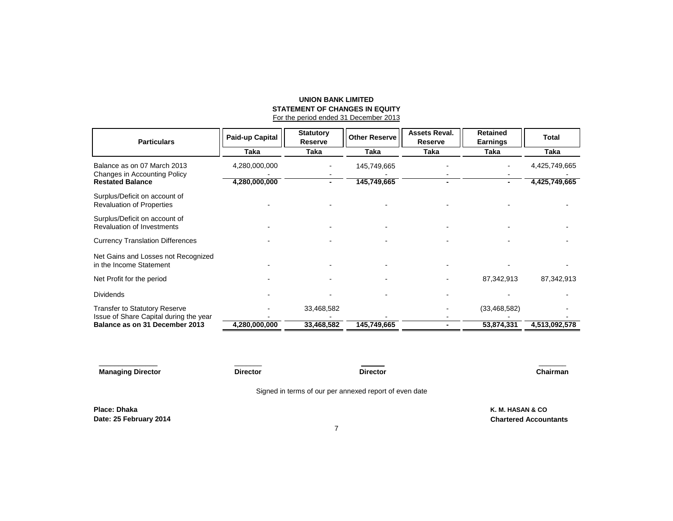#### **UNION BANK LIMITED STATEMENT OF CHANGES IN EQUITY** For the period ended 31 December 2013

| <b>Particulars</b>                                                       | <b>Paid-up Capital</b> | <b>Statutory</b><br>Reserve | Other Reserve | <b>Assets Reval.</b><br><b>Reserve</b> | <b>Retained</b><br><b>Earnings</b> | Total         |
|--------------------------------------------------------------------------|------------------------|-----------------------------|---------------|----------------------------------------|------------------------------------|---------------|
|                                                                          | Taka                   | Taka                        | Taka          | Taka                                   | Taka                               | Taka          |
| Balance as on 07 March 2013<br>Changes in Accounting Policy              | 4,280,000,000          |                             | 145,749,665   |                                        |                                    | 4,425,749,665 |
| <b>Restated Balance</b>                                                  | 4,280,000,000          |                             | 145,749,665   | ۰                                      |                                    | 4,425,749,665 |
| Surplus/Deficit on account of<br><b>Revaluation of Properties</b>        |                        |                             |               |                                        |                                    |               |
| Surplus/Deficit on account of<br><b>Revaluation of Investments</b>       |                        |                             |               |                                        |                                    |               |
| <b>Currency Translation Differences</b>                                  |                        |                             |               |                                        |                                    |               |
| Net Gains and Losses not Recognized<br>in the Income Statement           |                        |                             |               |                                        |                                    |               |
| Net Profit for the period                                                |                        |                             |               |                                        | 87,342,913                         | 87,342,913    |
| <b>Dividends</b>                                                         |                        |                             |               |                                        |                                    |               |
| <b>Transfer to Statutory Reserve</b>                                     |                        | 33,468,582                  |               |                                        | (33, 468, 582)                     |               |
| Issue of Share Capital during the year<br>Balance as on 31 December 2013 | 4,280,000,000          | 33,468,582                  | 145,749,665   |                                        | 53,874,331                         | 4,513,092,578 |

| <b>Managing Director</b>               | <b>Director</b> | $\overbrace{\hspace{25mm}}^{}$<br><b>Director</b>      | Chairman                                         |
|----------------------------------------|-----------------|--------------------------------------------------------|--------------------------------------------------|
|                                        |                 | Signed in terms of our per annexed report of even date |                                                  |
| Place: Dhaka<br>Date: 25 February 2014 |                 |                                                        | K. M. HASAN & CO<br><b>Chartered Accountants</b> |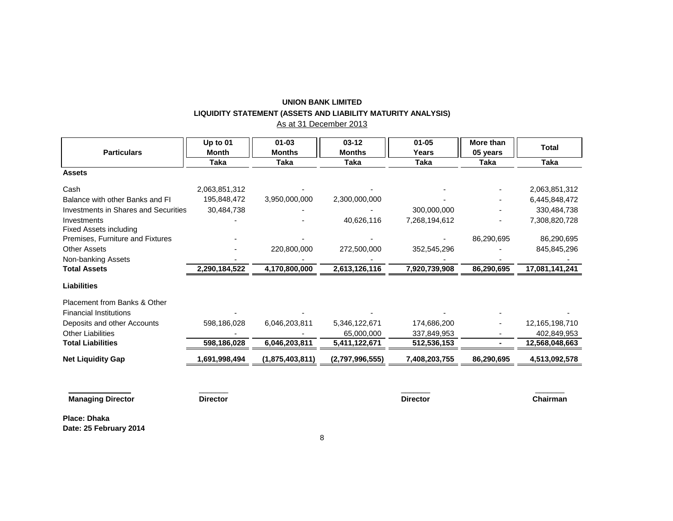# **UNION BANK LIMITED LIQUIDITY STATEMENT (ASSETS AND LIABILITY MATURITY ANALYSIS)**

As at 31 December 2013

| <b>Particulars</b>                          | Up to 01<br><b>Month</b> | $01 - 03$<br><b>Months</b> | $03-12$<br><b>Months</b> | $01 - 05$<br>Years | More than<br>05 years | <b>Total</b>   |
|---------------------------------------------|--------------------------|----------------------------|--------------------------|--------------------|-----------------------|----------------|
|                                             | Taka                     | Taka                       | Taka                     | Taka               | Taka                  | Taka           |
| <b>Assets</b>                               |                          |                            |                          |                    |                       |                |
| Cash                                        | 2,063,851,312            |                            |                          |                    |                       | 2,063,851,312  |
| Balance with other Banks and FI             | 195,848,472              | 3,950,000,000              | 2,300,000,000            |                    |                       | 6,445,848,472  |
| <b>Investments in Shares and Securities</b> | 30,484,738               |                            |                          | 300,000,000        |                       | 330,484,738    |
| Investments<br>Fixed Assets including       |                          |                            | 40,626,116               | 7,268,194,612      |                       | 7,308,820,728  |
| Premises, Furniture and Fixtures            |                          |                            |                          |                    | 86,290,695            | 86,290,695     |
| <b>Other Assets</b>                         |                          | 220,800,000                | 272,500,000              | 352,545,296        |                       | 845,845,296    |
| Non-banking Assets                          |                          |                            |                          |                    |                       |                |
| <b>Total Assets</b>                         | 2,290,184,522            | 4,170,800,000              | 2,613,126,116            | 7,920,739,908      | 86,290,695            | 17,081,141,241 |
| <b>Liabilities</b>                          |                          |                            |                          |                    |                       |                |
| Placement from Banks & Other                |                          |                            |                          |                    |                       |                |
| <b>Financial Institutions</b>               |                          |                            |                          |                    |                       |                |
| Deposits and other Accounts                 | 598,186,028              | 6,046,203,811              | 5,346,122,671            | 174,686,200        |                       | 12,165,198,710 |
| <b>Other Liabilities</b>                    |                          |                            | 65,000,000               | 337,849,953        |                       | 402,849,953    |
| <b>Total Liabilities</b>                    | 598,186,028              | 6,046,203,811              | 5,411,122,671            | 512,536,153        |                       | 12,568,048,663 |
| <b>Net Liquidity Gap</b>                    | 1,691,998,494            | (1,875,403,811)            | (2,797,996,555)          | 7,408,203,755      | 86,290,695            | 4,513,092,578  |
|                                             |                          |                            |                          |                    |                       |                |

**Managing Director Director Director Chairman**

**Place: Dhaka Date: 25 February 2014**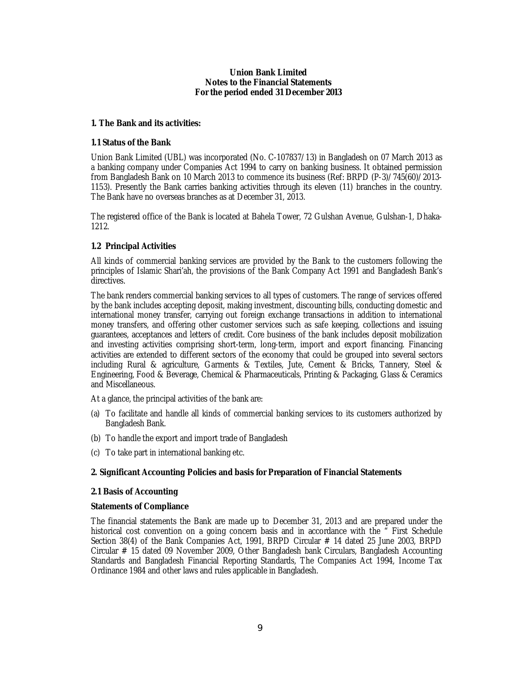# **Union Bank Limited Notes to the Financial Statements For the period ended 31 December 2013**

# **1. The Bank and its activities:**

# **1.1 Status of the Bank**

Union Bank Limited (UBL) was incorporated (No. C-107837/13) in Bangladesh on 07 March 2013 as a banking company under Companies Act 1994 to carry on banking business. It obtained permission from Bangladesh Bank on 10 March 2013 to commence its business (Ref: BRPD (P-3)/745(60)/2013- 1153). Presently the Bank carries banking activities through its eleven (11) branches in the country. The Bank have no overseas branches as at December 31, 2013.

The registered office of the Bank is located at Bahela Tower, 72 Gulshan Avenue, Gulshan-1, Dhaka-1212.

# **1.2 Principal Activities**

All kinds of commercial banking services are provided by the Bank to the customers following the principles of Islamic Shari'ah, the provisions of the Bank Company Act 1991 and Bangladesh Bank's directives.

The bank renders commercial banking services to all types of customers. The range of services offered by the bank includes accepting deposit, making investment, discounting bills, conducting domestic and international money transfer, carrying out foreign exchange transactions in addition to international money transfers, and offering other customer services such as safe keeping, collections and issuing guarantees, acceptances and letters of credit. Core business of the bank includes deposit mobilization and investing activities comprising short-term, long-term, import and export financing. Financing activities are extended to different sectors of the economy that could be grouped into several sectors including Rural & agriculture, Garments & Textiles, Jute, Cement & Bricks, Tannery, Steel & Engineering, Food & Beverage, Chemical & Pharmaceuticals, Printing & Packaging, Glass & Ceramics and Miscellaneous.

At a glance, the principal activities of the bank are:

- (a) To facilitate and handle all kinds of commercial banking services to its customers authorized by Bangladesh Bank.
- (b) To handle the export and import trade of Bangladesh
- (c) To take part in international banking etc.

# **2. Significant Accounting Policies and basis for Preparation of Financial Statements**

# **2.1 Basis of Accounting**

# **Statements of Compliance**

The financial statements the Bank are made up to December 31, 2013 and are prepared under the historical cost convention on a going concern basis and in accordance with the " First Schedule Section 38(4) of the Bank Companies Act, 1991, BRPD Circular  $#$  14 dated 25 June 2003, BRPD Circular # 15 dated 09 November 2009, Other Bangladesh bank Circulars, Bangladesh Accounting Standards and Bangladesh Financial Reporting Standards, The Companies Act 1994, Income Tax Ordinance 1984 and other laws and rules applicable in Bangladesh.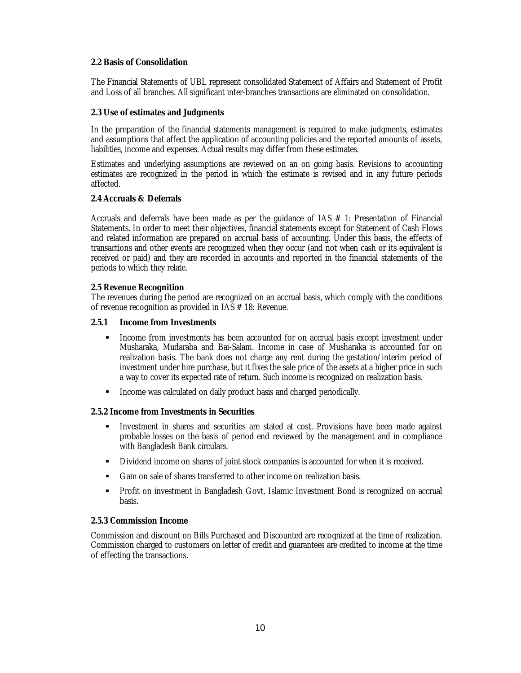# **2.2 Basis of Consolidation**

The Financial Statements of UBL represent consolidated Statement of Affairs and Statement of Profit and Loss of all branches. All significant inter-branches transactions are eliminated on consolidation.

# **2.3 Use of estimates and Judgments**

In the preparation of the financial statements management is required to make judgments, estimates and assumptions that affect the application of accounting policies and the reported amounts of assets, liabilities, income and expenses. Actual results may differ from these estimates.

Estimates and underlying assumptions are reviewed on an on going basis. Revisions to accounting estimates are recognized in the period in which the estimate is revised and in any future periods affected.

# **2.4 Accruals & Deferrals**

Accruals and deferrals have been made as per the guidance of IAS  $#$  1: Presentation of Financial Statements. In order to meet their objectives, financial statements except for Statement of Cash Flows and related information are prepared on accrual basis of accounting. Under this basis, the effects of transactions and other events are recognized when they occur (and not when cash or its equivalent is received or paid) and they are recorded in accounts and reported in the financial statements of the periods to which they relate.

# **2.5 Revenue Recognition**

The revenues during the period are recognized on an accrual basis, which comply with the conditions of revenue recognition as provided in IAS # 18: Revenue.

# **2.5.1 Income from Investments**

- **Income from investments has been accounted for on accrual basis except investment under** Musharaka, Mudaraba and Bai-Salam. Income in case of Musharaka is accounted for on realization basis. The bank does not charge any rent during the gestation/interim period of investment under hire purchase, but it fixes the sale price of the assets at a higher price in such a way to cover its expected rate of return. Such income is recognized on realization basis.
- **Income was calculated on daily product basis and charged periodically.**

# **2.5.2 Income from Investments in Securities**

- Investment in shares and securities are stated at cost. Provisions have been made against probable losses on the basis of period end reviewed by the management and in compliance with Bangladesh Bank circulars.
- Dividend income on shares of joint stock companies is accounted for when it is received.
- Gain on sale of shares transferred to other income on realization basis.
- Profit on investment in Bangladesh Govt. Islamic Investment Bond is recognized on accrual basis.

# **2.5.3 Commission Income**

Commission and discount on Bills Purchased and Discounted are recognized at the time of realization. Commission charged to customers on letter of credit and guarantees are credited to income at the time of effecting the transactions.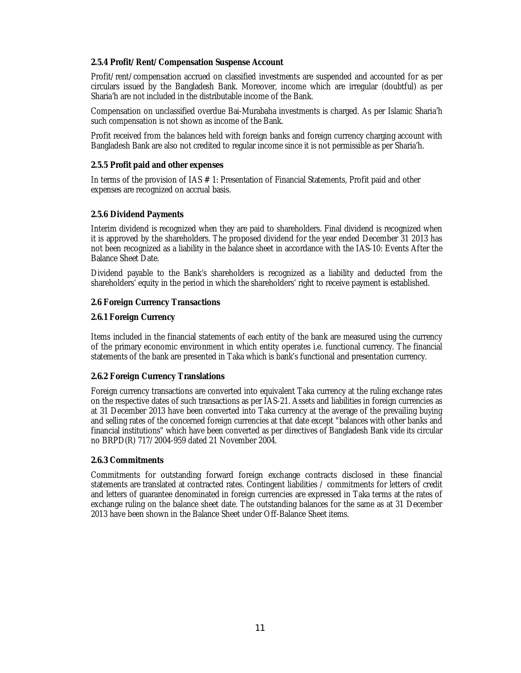# **2.5.4 Profit/Rent/Compensation Suspense Account**

Profit/rent/compensation accrued on classified investments are suspended and accounted for as per circulars issued by the Bangladesh Bank. Moreover, income which are irregular (doubtful) as per Sharia'h are not included in the distributable income of the Bank.

Compensation on unclassified overdue Bai-Murabaha investments is charged. As per Islamic Sharia'h such compensation is not shown as income of the Bank.

Profit received from the balances held with foreign banks and foreign currency charging account with Bangladesh Bank are also not credited to regular income since it is not permissible as per Sharia'h.

# **2.5.5 Profit paid and other expenses**

In terms of the provision of IAS # 1: Presentation of Financial Statements, Profit paid and other expenses are recognized on accrual basis.

# **2.5.6 Dividend Payments**

Interim dividend is recognized when they are paid to shareholders. Final dividend is recognized when it is approved by the shareholders. The proposed dividend for the year ended December 31 2013 has not been recognized as a liability in the balance sheet in accordance with the IAS-10: Events After the Balance Sheet Date.

Dividend payable to the Bank's shareholders is recognized as a liability and deducted from the shareholders' equity in the period in which the shareholders' right to receive payment is established.

# **2.6 Foreign Currency Transactions**

# **2.6.1 Foreign Currency**

Items included in the financial statements of each entity of the bank are measured using the currency of the primary economic environment in which entity operates i.e. functional currency. The financial statements of the bank are presented in Taka which is bank's functional and presentation currency.

# **2.6.2 Foreign Currency Translations**

Foreign currency transactions are converted into equivalent Taka currency at the ruling exchange rates on the respective dates of such transactions as per IAS-21. Assets and liabilities in foreign currencies as at 31 December 2013 have been converted into Taka currency at the average of the prevailing buying and selling rates of the concerned foreign currencies at that date except "balances with other banks and financial institutions" which have been converted as per directives of Bangladesh Bank vide its circular no BRPD(R) 717/2004-959 dated 21 November 2004.

# **2.6.3 Commitments**

Commitments for outstanding forward foreign exchange contracts disclosed in these financial statements are translated at contracted rates. Contingent liabilities / commitments for letters of credit and letters of guarantee denominated in foreign currencies are expressed in Taka terms at the rates of exchange ruling on the balance sheet date. The outstanding balances for the same as at 31 December 2013 have been shown in the Balance Sheet under Off-Balance Sheet items.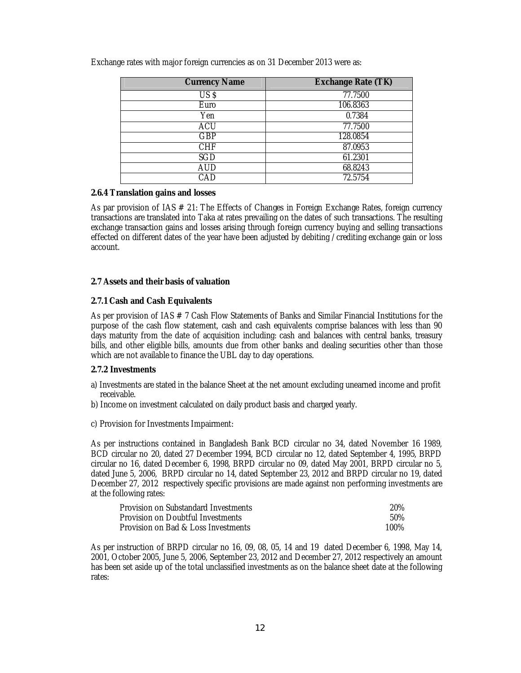| <b>Currency Name</b> | <b>Exchange Rate (TK)</b> |
|----------------------|---------------------------|
| US <sub>5</sub>      | 77.7500                   |
| Euro                 | 106.8363                  |
| Yen                  | 0.7384                    |
| <b>ACU</b>           | 77.7500                   |
| <b>GBP</b>           | 128.0854                  |
| <b>CHF</b>           | 87.0953                   |
| SGD                  | 61.2301                   |
| <b>AUD</b>           | 68.8243                   |
| CAD                  | 72.5754                   |

Exchange rates with major foreign currencies as on 31 December 2013 were as:

# **2.6.4 Translation gains and losses**

As par provision of IAS # 21: The Effects of Changes in Foreign Exchange Rates, foreign currency transactions are translated into Taka at rates prevailing on the dates of such transactions. The resulting exchange transaction gains and losses arising through foreign currency buying and selling transactions effected on different dates of the year have been adjusted by debiting /crediting exchange gain or loss account.

# **2.7 Assets and their basis of valuation**

# **2.7.1 Cash and Cash Equivalents**

As per provision of IAS # 7 Cash Flow Statements of Banks and Similar Financial Institutions for the purpose of the cash flow statement, cash and cash equivalents comprise balances with less than 90 days maturity from the date of acquisition including: cash and balances with central banks, treasury bills, and other eligible bills, amounts due from other banks and dealing securities other than those which are not available to finance the UBL day to day operations.

# **2.7.2 Investments**

- a) Investments are stated in the balance Sheet at the net amount excluding unearned income and profit receivable.
- b) Income on investment calculated on daily product basis and charged yearly.
- c) Provision for Investments Impairment:

As per instructions contained in Bangladesh Bank BCD circular no 34, dated November 16 1989, BCD circular no 20, dated 27 December 1994, BCD circular no 12, dated September 4, 1995, BRPD circular no 16, dated December 6, 1998, BRPD circular no 09, dated May 2001, BRPD circular no 5, dated June 5, 2006, BRPD circular no 14, dated September 23, 2012 and BRPD circular no 19, dated December 27, 2012 respectively specific provisions are made against non performing investments are at the following rates:

| Provision on Substandard Investments | 20%  |
|--------------------------------------|------|
| Provision on Doubtful Investments    | 50%  |
| Provision on Bad & Loss Investments  | 100% |

As per instruction of BRPD circular no 16, 09, 08, 05, 14 and 19 dated December 6, 1998, May 14, 2001, October 2005, June 5, 2006, September 23, 2012 and December 27, 2012 respectively an amount has been set aside up of the total unclassified investments as on the balance sheet date at the following rates: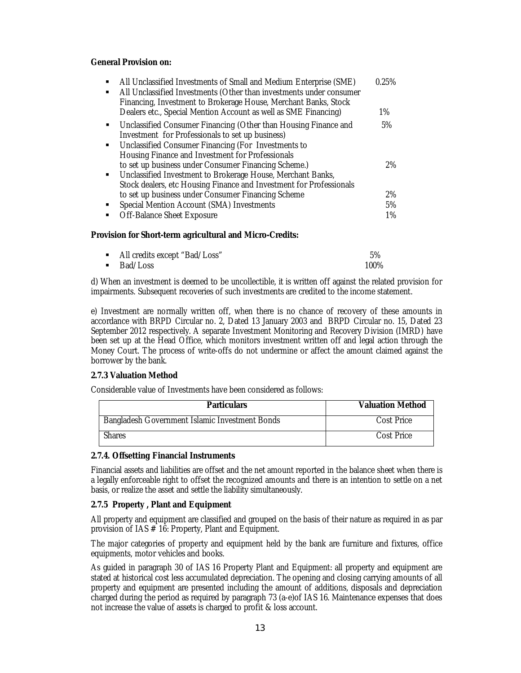# **General Provision on:**

| $\blacksquare$ | All Unclassified Investments of Small and Medium Enterprise (SME)<br>All Unclassified Investments (Other than investments under consumer<br>Financing, Investment to Brokerage House, Merchant Banks, Stock<br>Dealers etc., Special Mention Account as well as SME Financing) | 0.25%<br>$1\%$ |
|----------------|--------------------------------------------------------------------------------------------------------------------------------------------------------------------------------------------------------------------------------------------------------------------------------|----------------|
| $\blacksquare$ | Unclassified Consumer Financing (Other than Housing Finance and<br>Investment for Professionals to set up business)                                                                                                                                                            | 5%             |
| $\blacksquare$ | Unclassified Consumer Financing (For Investments to<br>Housing Finance and Investment for Professionals<br>to set up business under Consumer Financing Scheme.)                                                                                                                | 2%             |
|                | • Unclassified Investment to Brokerage House, Merchant Banks,<br>Stock dealers, etc Housing Finance and Investment for Professionals                                                                                                                                           |                |
|                | to set up business under Consumer Financing Scheme                                                                                                                                                                                                                             | 2%             |
|                | Special Mention Account (SMA) Investments                                                                                                                                                                                                                                      | 5%             |
| $\blacksquare$ | Off-Balance Sheet Exposure                                                                                                                                                                                                                                                     | 1%             |

### **Provision for Short-term agricultural and Micro-Credits:**

| • All credits except "Bad/Loss" | 5%   |
|---------------------------------|------|
| ■ Bad/Loss                      | 100% |

d) When an investment is deemed to be uncollectible, it is written off against the related provision for impairments. Subsequent recoveries of such investments are credited to the income statement.

e) Investment are normally written off, when there is no chance of recovery of these amounts in accordance with BRPD Circular no. 2, Dated 13 January 2003 and BRPD Circular no. 15, Dated 23 September 2012 respectively. A separate Investment Monitoring and Recovery Division (IMRD) have been set up at the Head Office, which monitors investment written off and legal action through the Money Court. The process of write-offs do not undermine or affect the amount claimed against the borrower by the bank.

# **2.7.3 Valuation Method**

Considerable value of Investments have been considered as follows:

| <b>Particulars</b>                             | <b>Valuation Method</b> |
|------------------------------------------------|-------------------------|
| Bangladesh Government Islamic Investment Bonds | Cost Price              |
| <b>Shares</b>                                  | Cost Price              |

# **2.7.4. Offsetting Financial Instruments**

Financial assets and liabilities are offset and the net amount reported in the balance sheet when there is a legally enforceable right to offset the recognized amounts and there is an intention to settle on a net basis, or realize the asset and settle the liability simultaneously.

# **2.7.5 Property , Plant and Equipment**

All property and equipment are classified and grouped on the basis of their nature as required in as par provision of IAS # 16: Property, Plant and Equipment.

The major categories of property and equipment held by the bank are furniture and fixtures, office equipments, motor vehicles and books.

As guided in paragraph 30 of IAS 16 Property Plant and Equipment: all property and equipment are stated at historical cost less accumulated depreciation. The opening and closing carrying amounts of all property and equipment are presented including the amount of additions, disposals and depreciation charged during the period as required by paragraph 73 (a-e)of IAS 16. Maintenance expenses that does not increase the value of assets is charged to profit & loss account.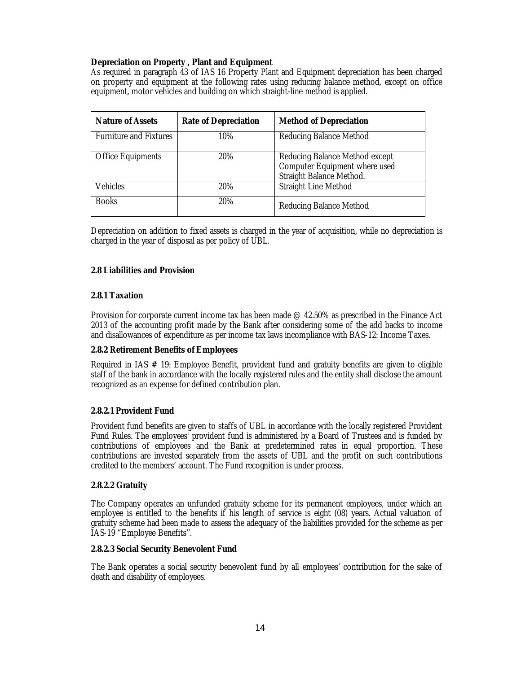# **Depreciation on Property , Plant and Equipment**

As required in paragraph 43 of IAS 16 Property Plant and Equipment depreciation has been charged on property and equipment at the following rates using reducing balance method, except on office equipment, motor vehicles and building on which straight-line method is applied.

| <b>Nature of Assets</b>              | <b>Rate of Depreciation</b> | <b>Method of Depreciation</b>                                                               |
|--------------------------------------|-----------------------------|---------------------------------------------------------------------------------------------|
| <b>Furniture and Fixtures</b><br>10% |                             | <b>Reducing Balance Method</b>                                                              |
| <b>Office Equipments</b>             | 20%                         | Reducing Balance Method except<br>Computer Equipment where used<br>Straight Balance Method. |
| <b>Vehicles</b>                      | 20%                         | <b>Straight Line Method</b>                                                                 |
| <b>Books</b>                         | 20%                         | <b>Reducing Balance Method</b>                                                              |

Depreciation on addition to fixed assets is charged in the year of acquisition, while no depreciation is charged in the year of disposal as per policy of UBL.

# **2.8 Liabilities and Provision**

# **2.8.1 Taxation**

Provision for corporate current income tax has been made @ 42.50% as prescribed in the Finance Act 2013 of the accounting profit made by the Bank after considering some of the add backs to income and disallowances of expenditure as per income tax laws incompliance with BAS-12: Income Taxes.

# **2.8.2 Retirement Benefits of Employees**

Required in IAS # 19: Employee Benefit, provident fund and gratuity benefits are given to eligible staff of the bank in accordance with the locally registered rules and the entity shall disclose the amount recognized as an expense for defined contribution plan.

# **2.8.2.1 Provident Fund**

Provident fund benefits are given to staffs of UBL in accordance with the locally registered Provident Fund Rules. The employees' provident fund is administered by a Board of Trustees and is funded by contributions of employees and the Bank at predetermined rates in equal proportion. These contributions are invested separately from the assets of UBL and the profit on such contributions credited to the members' account. The Fund recognition is under process.

# **2.8.2.2 Gratuity**

The Company operates an unfunded gratuity scheme for its permanent employees, under which an employee is entitled to the benefits if his length of service is eight (08) years. Actual valuation of gratuity scheme had been made to assess the adequacy of the liabilities provided for the scheme as per IAS-19 "Employee Benefits''.

# **2.8.2.3 Social Security Benevolent Fund**

The Bank operates a social security benevolent fund by all employees' contribution for the sake of death and disability of employees.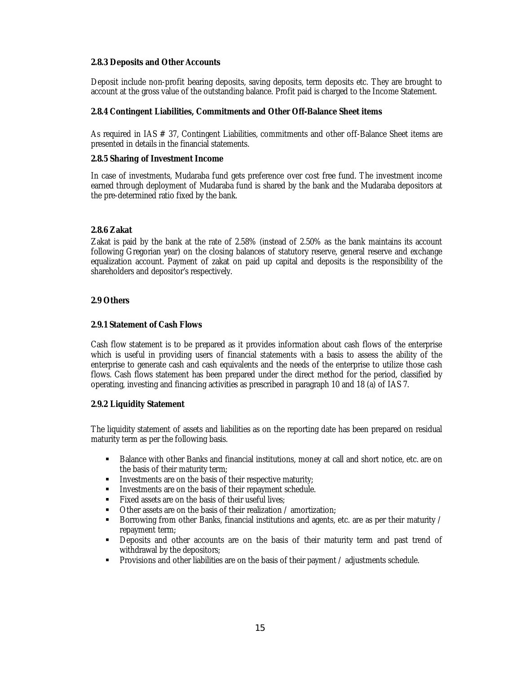# **2.8.3 Deposits and Other Accounts**

Deposit include non-profit bearing deposits, saving deposits, term deposits etc. They are brought to account at the gross value of the outstanding balance. Profit paid is charged to the Income Statement.

# **2.8.4 Contingent Liabilities, Commitments and Other Off-Balance Sheet items**

As required in IAS # 37, Contingent Liabilities, commitments and other off-Balance Sheet items are presented in details in the financial statements.

# **2.8.5 Sharing of Investment Income**

In case of investments, Mudaraba fund gets preference over cost free fund. The investment income earned through deployment of Mudaraba fund is shared by the bank and the Mudaraba depositors at the pre-determined ratio fixed by the bank.

# **2.8.6 Zakat**

Zakat is paid by the bank at the rate of 2.58% (instead of 2.50% as the bank maintains its account following Gregorian year) on the closing balances of statutory reserve, general reserve and exchange equalization account. Payment of zakat on paid up capital and deposits is the responsibility of the shareholders and depositor's respectively.

# **2.9 Others**

# **2.9.1 Statement of Cash Flows**

Cash flow statement is to be prepared as it provides information about cash flows of the enterprise which is useful in providing users of financial statements with a basis to assess the ability of the enterprise to generate cash and cash equivalents and the needs of the enterprise to utilize those cash flows. Cash flows statement has been prepared under the direct method for the period, classified by operating, investing and financing activities as prescribed in paragraph 10 and 18 (a) of IAS 7.

# **2.9.2 Liquidity Statement**

The liquidity statement of assets and liabilities as on the reporting date has been prepared on residual maturity term as per the following basis.

- **Balance with other Banks and financial institutions, money at call and short notice, etc. are on** the basis of their maturity term;
- Investments are on the basis of their respective maturity;
- **Investments are on the basis of their repayment schedule.**
- Fixed assets are on the basis of their useful lives:
- Other assets are on the basis of their realization / amortization;
- Borrowing from other Banks, financial institutions and agents, etc. are as per their maturity / repayment term;
- Deposits and other accounts are on the basis of their maturity term and past trend of withdrawal by the depositors;
- Provisions and other liabilities are on the basis of their payment / adjustments schedule.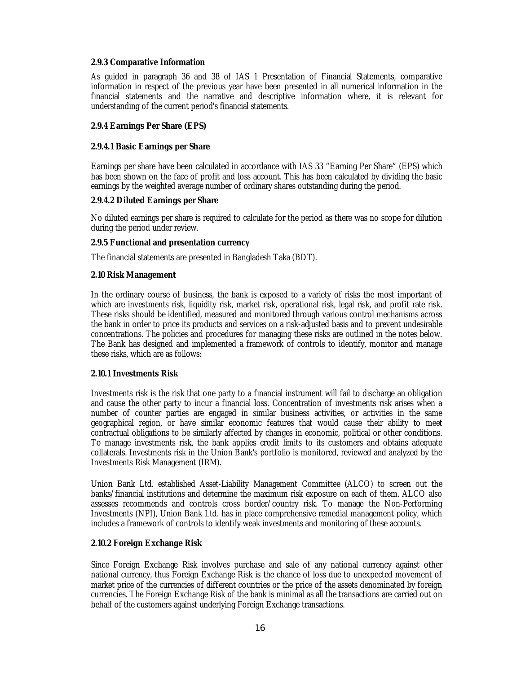# **2.9.3 Comparative Information**

As guided in paragraph 36 and 38 of IAS 1 Presentation of Financial Statements, comparative information in respect of the previous year have been presented in all numerical information in the financial statements and the narrative and descriptive information where, it is relevant for understanding of the current period's financial statements.

# **2.9.4 Earnings Per Share (EPS)**

# **2.9.4.1 Basic Earnings per Share**

Earnings per share have been calculated in accordance with IAS 33 "Earning Per Share" (EPS) which has been shown on the face of profit and loss account. This has been calculated by dividing the basic earnings by the weighted average number of ordinary shares outstanding during the period.

# **2.9.4.2 Diluted Earnings per Share**

No diluted earnings per share is required to calculate for the period as there was no scope for dilution during the period under review.

# **2.9.5 Functional and presentation currency**

The financial statements are presented in Bangladesh Taka (BDT).

# **2.10 Risk Management**

In the ordinary course of business, the bank is exposed to a variety of risks the most important of which are investments risk, liquidity risk, market risk, operational risk, legal risk, and profit rate risk. These risks should be identified, measured and monitored through various control mechanisms across the bank in order to price its products and services on a risk-adjusted basis and to prevent undesirable concentrations. The policies and procedures for managing these risks are outlined in the notes below. The Bank has designed and implemented a framework of controls to identify, monitor and manage these risks, which are as follows:

# **2.10.1 Investments Risk**

Investments risk is the risk that one party to a financial instrument will fail to discharge an obligation and cause the other party to incur a financial loss. Concentration of investments risk arises when a number of counter parties are engaged in similar business activities, or activities in the same geographical region, or have similar economic features that would cause their ability to meet contractual obligations to be similarly affected by changes in economic, political or other conditions. To manage investments risk, the bank applies credit limits to its customers and obtains adequate collaterals. Investments risk in the Union Bank's portfolio is monitored, reviewed and analyzed by the Investments Risk Management (IRM).

Union Bank Ltd. established Asset-Liability Management Committee (ALCO) to screen out the banks/financial institutions and determine the maximum risk exposure on each of them. ALCO also assesses recommends and controls cross border/country risk. To manage the Non-Performing Investments (NPI), Union Bank Ltd. has in place comprehensive remedial management policy, which includes a framework of controls to identify weak investments and monitoring of these accounts.

# **2.10.2 Foreign Exchange Risk**

Since Foreign Exchange Risk involves purchase and sale of any national currency against other national currency, thus Foreign Exchange Risk is the chance of loss due to unexpected movement of market price of the currencies of different countries or the price of the assets denominated by foreign currencies. The Foreign Exchange Risk of the bank is minimal as all the transactions are carried out on behalf of the customers against underlying Foreign Exchange transactions.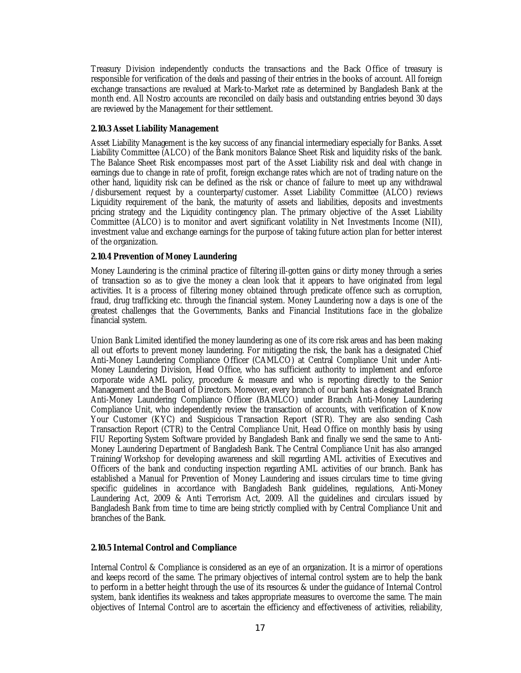Treasury Division independently conducts the transactions and the Back Office of treasury is responsible for verification of the deals and passing of their entries in the books of account. All foreign exchange transactions are revalued at Mark-to-Market rate as determined by Bangladesh Bank at the month end. All Nostro accounts are reconciled on daily basis and outstanding entries beyond 30 days are reviewed by the Management for their settlement.

# **2.10.3 Asset Liability Management**

Asset Liability Management is the key success of any financial intermediary especially for Banks. Asset Liability Committee (ALCO) of the Bank monitors Balance Sheet Risk and liquidity risks of the bank. The Balance Sheet Risk encompasses most part of the Asset Liability risk and deal with change in earnings due to change in rate of profit, foreign exchange rates which are not of trading nature on the other hand, liquidity risk can be defined as the risk or chance of failure to meet up any withdrawal /disbursement request by a counterparty/customer. Asset Liability Committee (ALCO) reviews Liquidity requirement of the bank, the maturity of assets and liabilities, deposits and investments pricing strategy and the Liquidity contingency plan. The primary objective of the Asset Liability Committee (ALCO) is to monitor and avert significant volatility in Net Investments Income (NII), investment value and exchange earnings for the purpose of taking future action plan for better interest of the organization.

# **2.10.4 Prevention of Money Laundering**

Money Laundering is the criminal practice of filtering ill-gotten gains or dirty money through a series of transaction so as to give the money a clean look that it appears to have originated from legal activities. It is a process of filtering money obtained through predicate offence such as corruption, fraud, drug trafficking etc. through the financial system. Money Laundering now a days is one of the greatest challenges that the Governments, Banks and Financial Institutions face in the globalize financial system.

Union Bank Limited identified the money laundering as one of its core risk areas and has been making all out efforts to prevent money laundering. For mitigating the risk, the bank has a designated Chief Anti-Money Laundering Compliance Officer (CAMLCO) at Central Compliance Unit under Anti-Money Laundering Division, Head Office, who has sufficient authority to implement and enforce corporate wide AML policy, procedure & measure and who is reporting directly to the Senior Management and the Board of Directors. Moreover, every branch of our bank has a designated Branch Anti-Money Laundering Compliance Officer (BAMLCO) under Branch Anti-Money Laundering Compliance Unit, who independently review the transaction of accounts, with verification of Know Your Customer (KYC) and Suspicious Transaction Report (STR). They are also sending Cash Transaction Report (CTR) to the Central Compliance Unit, Head Office on monthly basis by using FIU Reporting System Software provided by Bangladesh Bank and finally we send the same to Anti-Money Laundering Department of Bangladesh Bank. The Central Compliance Unit has also arranged Training/Workshop for developing awareness and skill regarding AML activities of Executives and Officers of the bank and conducting inspection regarding AML activities of our branch. Bank has established a Manual for Prevention of Money Laundering and issues circulars time to time giving specific guidelines in accordance with Bangladesh Bank guidelines, regulations, Anti-Money Laundering Act, 2009 & Anti Terrorism Act, 2009. All the guidelines and circulars issued by Bangladesh Bank from time to time are being strictly complied with by Central Compliance Unit and branches of the Bank.

# **2.10.5 Internal Control and Compliance**

Internal Control & Compliance is considered as an eye of an organization. It is a mirror of operations and keeps record of the same. The primary objectives of internal control system are to help the bank to perform in a better height through the use of its resources & under the guidance of Internal Control system, bank identifies its weakness and takes appropriate measures to overcome the same. The main objectives of Internal Control are to ascertain the efficiency and effectiveness of activities, reliability,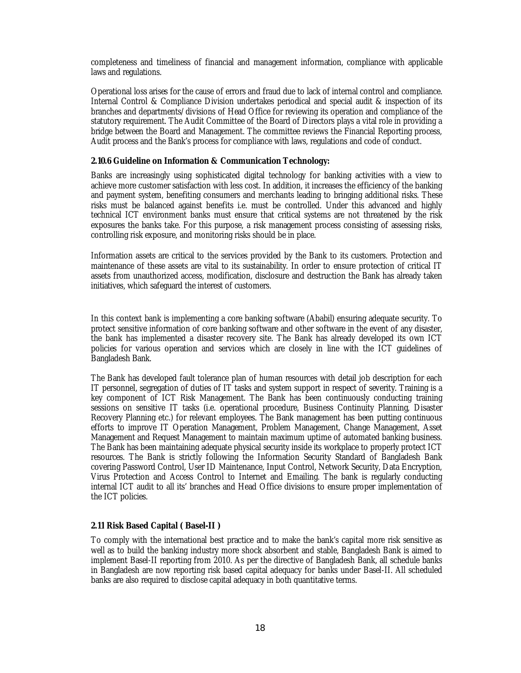completeness and timeliness of financial and management information, compliance with applicable laws and regulations.

Operational loss arises for the cause of errors and fraud due to lack of internal control and compliance. Internal Control & Compliance Division undertakes periodical and special audit & inspection of its branches and departments/divisions of Head Office for reviewing its operation and compliance of the statutory requirement. The Audit Committee of the Board of Directors plays a vital role in providing a bridge between the Board and Management. The committee reviews the Financial Reporting process, Audit process and the Bank's process for compliance with laws, regulations and code of conduct.

# **2.10.6 Guideline on Information & Communication Technology:**

Banks are increasingly using sophisticated digital technology for banking activities with a view to achieve more customer satisfaction with less cost. In addition, it increases the efficiency of the banking and payment system, benefiting consumers and merchants leading to bringing additional risks. These risks must be balanced against benefits i.e. must be controlled. Under this advanced and highly technical ICT environment banks must ensure that critical systems are not threatened by the risk exposures the banks take. For this purpose, a risk management process consisting of assessing risks, controlling risk exposure, and monitoring risks should be in place.

Information assets are critical to the services provided by the Bank to its customers. Protection and maintenance of these assets are vital to its sustainability. In order to ensure protection of critical IT assets from unauthorized access, modification, disclosure and destruction the Bank has already taken initiatives, which safeguard the interest of customers.

In this context bank is implementing a core banking software (Ababil) ensuring adequate security. To protect sensitive information of core banking software and other software in the event of any disaster, the bank has implemented a disaster recovery site. The Bank has already developed its own ICT policies for various operation and services which are closely in line with the ICT guidelines of Bangladesh Bank.

The Bank has developed fault tolerance plan of human resources with detail job description for each IT personnel, segregation of duties of IT tasks and system support in respect of severity. Training is a key component of ICT Risk Management. The Bank has been continuously conducting training sessions on sensitive IT tasks (i.e. operational procedure, Business Continuity Planning, Disaster Recovery Planning etc.) for relevant employees. The Bank management has been putting continuous efforts to improve IT Operation Management, Problem Management, Change Management, Asset Management and Request Management to maintain maximum uptime of automated banking business. The Bank has been maintaining adequate physical security inside its workplace to properly protect ICT resources. The Bank is strictly following the Information Security Standard of Bangladesh Bank covering Password Control, User ID Maintenance, Input Control, Network Security, Data Encryption, Virus Protection and Access Control to Internet and Emailing. The bank is regularly conducting internal ICT audit to all its' branches and Head Office divisions to ensure proper implementation of the ICT policies.

# **2.11 Risk Based Capital ( Basel-II )**

To comply with the international best practice and to make the bank's capital more risk sensitive as well as to build the banking industry more shock absorbent and stable, Bangladesh Bank is aimed to implement Basel-II reporting from 2010. As per the directive of Bangladesh Bank, all schedule banks in Bangladesh are now reporting risk based capital adequacy for banks under Basel-II. All scheduled banks are also required to disclose capital adequacy in both quantitative terms.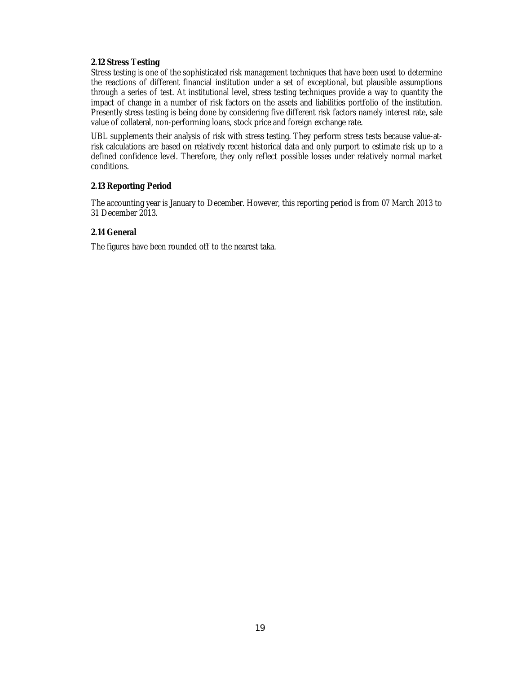# **2.12 Stress Testing**

Stress testing is one of the sophisticated risk management techniques that have been used to determine the reactions of different financial institution under a set of exceptional, but plausible assumptions through a series of test. At institutional level, stress testing techniques provide a way to quantity the impact of change in a number of risk factors on the assets and liabilities portfolio of the institution. Presently stress testing is being done by considering five different risk factors namely interest rate, sale value of collateral, non-performing loans, stock price and foreign exchange rate.

UBL supplements their analysis of risk with stress testing. They perform stress tests because value-atrisk calculations are based on relatively recent historical data and only purport to estimate risk up to a defined confidence level. Therefore, they only reflect possible losses under relatively normal market conditions.

# **2.13 Reporting Period**

The accounting year is January to December. However, this reporting period is from 07 March 2013 to 31 December 2013.

# **2.14 General**

The figures have been rounded off to the nearest taka.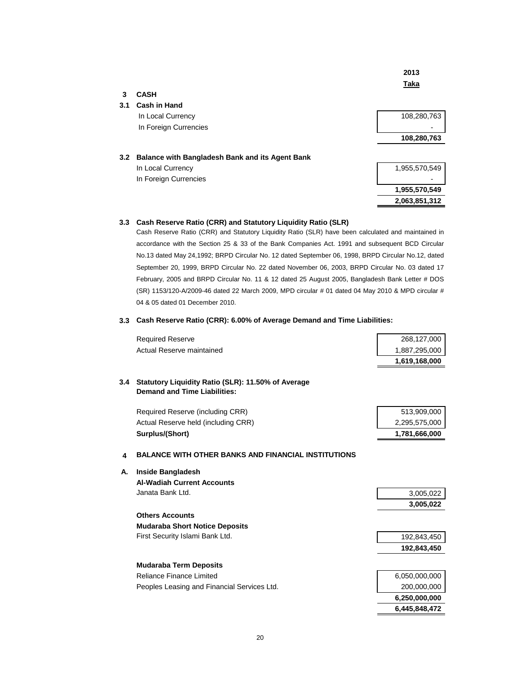|     |                                                 | 2013          |
|-----|-------------------------------------------------|---------------|
|     |                                                 | Taka          |
| 3   | <b>CASH</b>                                     |               |
| 3.1 | <b>Cash in Hand</b>                             |               |
|     | In Local Currency                               | 108,280,763   |
|     | In Foreign Currencies                           |               |
|     |                                                 | 108,280,763   |
| 3.2 | Balance with Bangladesh Bank and its Agent Bank |               |
|     | In Local Currency                               | 1,955,570,549 |
|     | In Foreign Currencies                           |               |
|     |                                                 | 1,955,570,549 |
|     |                                                 | 2,063,851,312 |

#### **3.3 Cash Reserve Ratio (CRR) and Statutory Liquidity Ratio (SLR)**

Cash Reserve Ratio (CRR) and Statutory Liquidity Ratio (SLR) have been calculated and maintained in accordance with the Section 25 & 33 of the Bank Companies Act. 1991 and subsequent BCD Circular No.13 dated May 24,1992; BRPD Circular No. 12 dated September 06, 1998, BRPD Circular No.12, dated September 20, 1999, BRPD Circular No. 22 dated November 06, 2003, BRPD Circular No. 03 dated 17 February, 2005 and BRPD Circular No. 11 & 12 dated 25 August 2005, Bangladesh Bank Letter # DOS (SR) 1153/120-A/2009-46 dated 22 March 2009, MPD circular # 01 dated 04 May 2010 & MPD circular # 04 & 05 dated 01 December 2010.

#### **3.3 Cash Reserve Ratio (CRR): 6.00% of Average Demand and Time Liabilities:**

| <b>Required Reserve</b>   | 268.127.000   |
|---------------------------|---------------|
| Actual Reserve maintained | 1.887.295.000 |
|                           | 1.619.168.000 |

#### **3.4 Statutory Liquidity Ratio (SLR): 11.50% of Average Demand and Time Liabilities:**

|    | Required Reserve (including CRR)                           | 513,909,000   |
|----|------------------------------------------------------------|---------------|
|    | Actual Reserve held (including CRR)                        | 2,295,575,000 |
|    | Surplus/(Short)                                            | 1,781,666,000 |
|    |                                                            |               |
| 4  | <b>BALANCE WITH OTHER BANKS AND FINANCIAL INSTITUTIONS</b> |               |
| А. | <b>Inside Bangladesh</b>                                   |               |
|    | <b>Al-Wadiah Current Accounts</b>                          |               |
|    | Janata Bank Ltd.                                           | 3,005,022     |
|    |                                                            | 3,005,022     |
|    | <b>Others Accounts</b>                                     |               |
|    | <b>Mudaraba Short Notice Deposits</b>                      |               |
|    | First Security Islami Bank Ltd.                            | 192,843,450   |
|    |                                                            | 192,843,450   |
|    | <b>Mudaraba Term Deposits</b>                              |               |
|    | Reliance Finance Limited                                   | 6,050,000,000 |
|    | Peoples Leasing and Financial Services Ltd.                | 200,000,000   |
|    |                                                            | 6,250,000,000 |
|    |                                                            | 6,445,848,472 |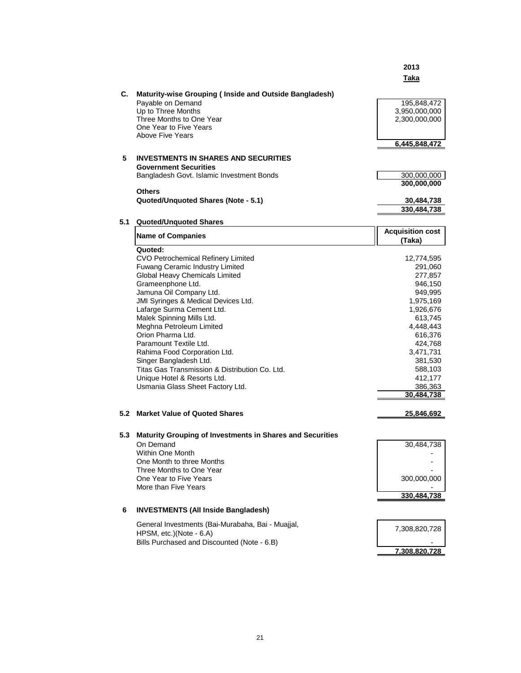|     |                                                                                                                                                                             | 2013<br>Taka                                                   |
|-----|-----------------------------------------------------------------------------------------------------------------------------------------------------------------------------|----------------------------------------------------------------|
| C.  | Maturity-wise Grouping (Inside and Outside Bangladesh)<br>Payable on Demand<br>Up to Three Months<br>Three Months to One Year<br>One Year to Five Years<br>Above Five Years | 195,848,472<br>3,950,000,000<br>2,300,000,000<br>6,445,848,472 |
| 5   | <b>INVESTMENTS IN SHARES AND SECURITIES</b>                                                                                                                                 |                                                                |
|     | <b>Government Securities</b><br>Bangladesh Govt. Islamic Investment Bonds                                                                                                   | 300,000,000                                                    |
|     |                                                                                                                                                                             | 300,000,000                                                    |
|     | <b>Others</b>                                                                                                                                                               |                                                                |
|     | Quoted/Unquoted Shares (Note - 5.1)                                                                                                                                         | 30,484,738                                                     |
|     |                                                                                                                                                                             | 330,484,738                                                    |
| 5.1 | <b>Quoted/Unquoted Shares</b>                                                                                                                                               |                                                                |
|     | <b>Name of Companies</b>                                                                                                                                                    | <b>Acquisition cost</b><br>(Taka)                              |
|     | Quoted:                                                                                                                                                                     |                                                                |
|     | CVO Petrochemical Refinery Limited                                                                                                                                          | 12,774,595                                                     |
|     | Fuwang Ceramic Industry Limited                                                                                                                                             | 291,060                                                        |
|     | <b>Global Heavy Chemicals Limited</b>                                                                                                                                       | 277,857                                                        |
|     | Grameenphone Ltd.                                                                                                                                                           | 946,150                                                        |
|     | Jamuna Oil Company Ltd.<br>JMI Syringes & Medical Devices Ltd.                                                                                                              | 949,995<br>1,975,169                                           |
|     | Lafarge Surma Cement Ltd.                                                                                                                                                   | 1,926,676                                                      |
|     | Malek Spinning Mills Ltd.                                                                                                                                                   | 613,745                                                        |
|     | Meghna Petroleum Limited                                                                                                                                                    | 4,448,443                                                      |
|     | Orion Pharma Ltd.                                                                                                                                                           | 616,376                                                        |
|     | Paramount Textile Ltd.                                                                                                                                                      | 424,768                                                        |
|     | Rahima Food Corporation Ltd.<br>Singer Bangladesh Ltd.                                                                                                                      | 3,471,731<br>381,530                                           |
|     | Titas Gas Transmission & Distribution Co. Ltd.                                                                                                                              | 588,103                                                        |
|     | Unique Hotel & Resorts Ltd.                                                                                                                                                 | 412,177                                                        |
|     | Usmania Glass Sheet Factory Ltd.                                                                                                                                            | 386,363                                                        |
|     |                                                                                                                                                                             | 30,484,738                                                     |
|     | 5.2 Market Value of Quoted Shares                                                                                                                                           | 25,846,692                                                     |
|     | 5.3 Maturity Grouping of Investments in Shares and Securities                                                                                                               |                                                                |
|     | On Demand                                                                                                                                                                   | 30,484,738                                                     |
|     | Within One Month                                                                                                                                                            |                                                                |
|     | One Month to three Months                                                                                                                                                   |                                                                |
|     | Three Months to One Year                                                                                                                                                    |                                                                |
|     | One Year to Five Years<br>More than Five Years                                                                                                                              | 300,000,000                                                    |
|     |                                                                                                                                                                             | 330,484,738                                                    |
| 6   | <b>INVESTMENTS (All Inside Bangladesh)</b>                                                                                                                                  |                                                                |
|     |                                                                                                                                                                             |                                                                |
|     | General Investments (Bai-Murabaha, Bai - Muajjal,                                                                                                                           | 7,308,820,728                                                  |
|     | HPSM, etc.)(Note - 6.A)                                                                                                                                                     |                                                                |
|     | Bills Purchased and Discounted (Note - 6.B)                                                                                                                                 | 7,308,820,728                                                  |
|     |                                                                                                                                                                             |                                                                |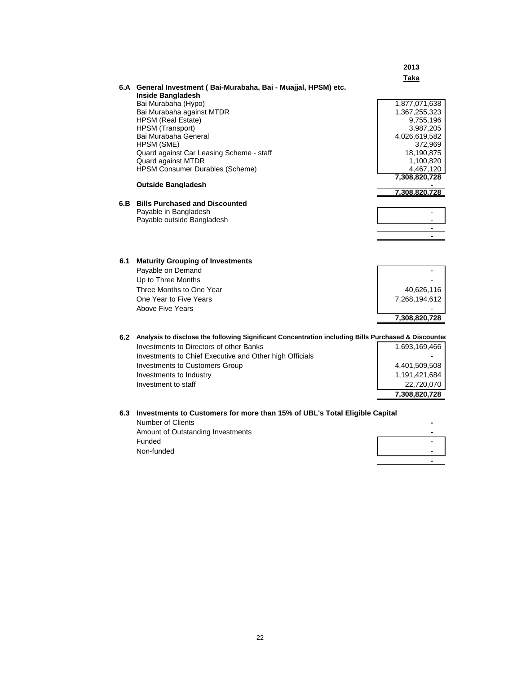|                                                                                                         | 2013          |
|---------------------------------------------------------------------------------------------------------|---------------|
|                                                                                                         | <b>Taka</b>   |
| 6.A General Investment (Bai-Murabaha, Bai - Muajjal, HPSM) etc.                                         |               |
| <b>Inside Bangladesh</b>                                                                                |               |
| Bai Murabaha (Hypo)                                                                                     | 1,877,071,638 |
| Bai Murabaha against MTDR                                                                               | 1,367,255,323 |
| <b>HPSM</b> (Real Estate)                                                                               | 9,755,196     |
| HPSM (Transport)                                                                                        | 3,987,205     |
| Bai Murabaha General                                                                                    | 4,026,619,582 |
| HPSM (SME)                                                                                              | 372,969       |
| Quard against Car Leasing Scheme - staff                                                                | 18,190,875    |
| Quard against MTDR                                                                                      | 1,100,820     |
| <b>HPSM Consumer Durables (Scheme)</b>                                                                  | 4,467,120     |
| <b>Outside Bangladesh</b>                                                                               | 7,308,820,728 |
|                                                                                                         | 7,308,820,728 |
| 6.B Bills Purchased and Discounted                                                                      |               |
| Payable in Bangladesh                                                                                   |               |
| Payable outside Bangladesh                                                                              |               |
|                                                                                                         |               |
|                                                                                                         |               |
|                                                                                                         |               |
|                                                                                                         |               |
| 6.1 Maturity Grouping of Investments                                                                    |               |
| Payable on Demand                                                                                       |               |
| Up to Three Months                                                                                      |               |
| Three Months to One Year                                                                                | 40,626,116    |
| One Year to Five Years                                                                                  | 7,268,194,612 |
| Above Five Years                                                                                        |               |
|                                                                                                         | 7,308,820,728 |
|                                                                                                         |               |
| 6.2 Analysis to disclose the following Significant Concentration including Bills Purchased & Discounted |               |
| Investments to Directors of other Banks                                                                 | 1,693,169,466 |
| Investments to Chief Executive and Other high Officials                                                 |               |
| <b>Investments to Customers Group</b>                                                                   | 4,401,509,508 |
| Investments to Industry                                                                                 | 1,191,421,684 |
| Investment to staff                                                                                     | 22,720,070    |
|                                                                                                         | 7,308,820,728 |
|                                                                                                         |               |
| 6.3 Investments to Customers for more than 15% of UBL's Total Eligible Capital                          |               |
| Number of Clients                                                                                       |               |
| Amount of Outstanding Investments                                                                       |               |
| E                                                                                                       |               |

| Amount of Outstanding Investments |                          |
|-----------------------------------|--------------------------|
| Funded                            |                          |
| Non-funded                        | $\overline{\phantom{0}}$ |
|                                   | -                        |

 $\overline{\phantom{0}}$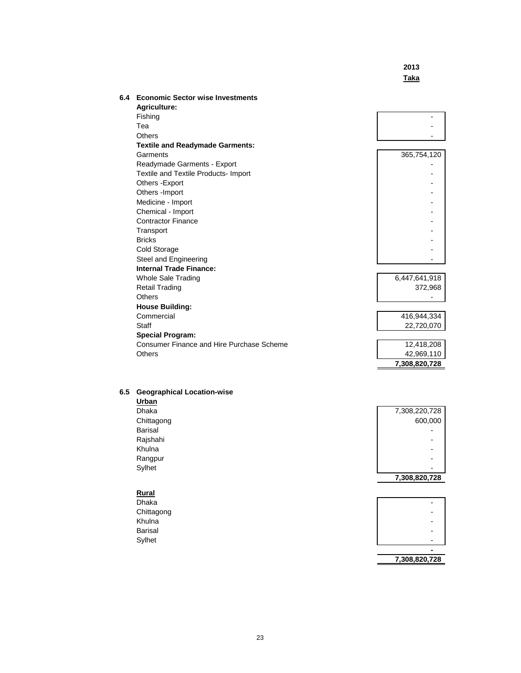# **2013 Taka**

 **7,308,820,728**

| 6.4 | <b>Economic Sector wise Investments</b>   |               |
|-----|-------------------------------------------|---------------|
|     | <b>Agriculture:</b>                       |               |
|     | Fishing                                   |               |
|     | Tea                                       |               |
|     | Others                                    |               |
|     | <b>Textile and Readymade Garments:</b>    |               |
|     | Garments                                  | 365,754,120   |
|     | Readymade Garments - Export               |               |
|     | Textile and Textile Products- Import      |               |
|     | Others - Export                           |               |
|     | Others - Import                           |               |
|     | Medicine - Import                         |               |
|     | Chemical - Import                         |               |
|     | <b>Contractor Finance</b>                 |               |
|     | Transport                                 |               |
|     | <b>Bricks</b>                             |               |
|     | Cold Storage                              |               |
|     | Steel and Engineering                     |               |
|     | <b>Internal Trade Finance:</b>            |               |
|     | Whole Sale Trading                        | 6,447,641,918 |
|     | <b>Retail Trading</b>                     | 372,968       |
|     | Others                                    |               |
|     | <b>House Building:</b>                    |               |
|     | Commercial                                | 416,944,334   |
|     | <b>Staff</b>                              | 22,720,070    |
|     | <b>Special Program:</b>                   |               |
|     | Consumer Finance and Hire Purchase Scheme | 12,418,208    |
|     | Others                                    | 42,969,110    |
|     |                                           | 7,308,820,728 |

#### **6.5 Geographical Location-wise**

| Urban          |               |
|----------------|---------------|
| <b>Dhaka</b>   | 7,308,220,728 |
| Chittagong     | 600,000       |
| <b>Barisal</b> |               |
| Rajshahi       |               |
| Khulna         |               |
| Rangpur        |               |
| Sylhet         |               |
|                | 7,308,820,728 |
|                |               |

|            | $\overline{\phantom{a}}$<br>$\overline{\phantom{a}}$<br>$\overline{\phantom{a}}$ |
|------------|----------------------------------------------------------------------------------|
| Rural      |                                                                                  |
| Dhaka      | $\overline{\phantom{0}}$                                                         |
| Chittagong | $\blacksquare$                                                                   |
| Khulna     | $\overline{\phantom{0}}$                                                         |
| Barisal    | -                                                                                |
| Sylhet     | $\overline{\phantom{a}}$                                                         |
|            |                                                                                  |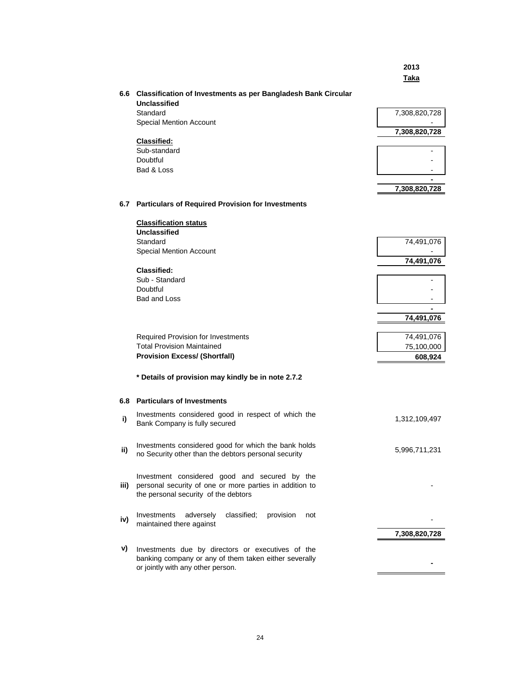|      |                                                                                                                                                  | 2013<br>Taka  |
|------|--------------------------------------------------------------------------------------------------------------------------------------------------|---------------|
|      | 6.6 Classification of Investments as per Bangladesh Bank Circular<br><b>Unclassified</b>                                                         |               |
|      | Standard                                                                                                                                         | 7,308,820,728 |
|      | <b>Special Mention Account</b>                                                                                                                   |               |
|      |                                                                                                                                                  | 7,308,820,728 |
|      | <b>Classified:</b>                                                                                                                               |               |
|      | Sub-standard<br>Doubtful                                                                                                                         |               |
|      | Bad & Loss                                                                                                                                       |               |
|      |                                                                                                                                                  |               |
|      |                                                                                                                                                  | 7,308,820,728 |
|      | 6.7 Particulars of Required Provision for Investments                                                                                            |               |
|      | <b>Classification status</b>                                                                                                                     |               |
|      | Unclassified                                                                                                                                     |               |
|      | Standard                                                                                                                                         | 74,491,076    |
|      | <b>Special Mention Account</b>                                                                                                                   | 74,491,076    |
|      | Classified:                                                                                                                                      |               |
|      | Sub - Standard                                                                                                                                   |               |
|      | Doubtful                                                                                                                                         |               |
|      | Bad and Loss                                                                                                                                     |               |
|      |                                                                                                                                                  |               |
|      |                                                                                                                                                  | 74,491,076    |
|      | <b>Required Provision for Investments</b>                                                                                                        | 74,491,076    |
|      | <b>Total Provision Maintained</b>                                                                                                                | 75,100,000    |
|      | <b>Provision Excess/ (Shortfall)</b>                                                                                                             | 608,924       |
|      |                                                                                                                                                  |               |
|      | * Details of provision may kindly be in note 2.7.2                                                                                               |               |
|      | 6.8 Particulars of Investments                                                                                                                   |               |
| i)   | Investments considered good in respect of which the<br>Bank Company is fully secured                                                             | 1,312,109,497 |
| ii)  | Investments considered good for which the bank holds<br>no Security other than the debtors personal security                                     | 5,996,711,231 |
| iii) | Investment considered good and secured by the<br>personal security of one or more parties in addition to<br>the personal security of the debtors |               |
| iv)  | Investments<br>adversely<br>classified;<br>provision<br>not<br>maintained there against                                                          |               |
|      |                                                                                                                                                  | 7,308,820,728 |
| v)   | Investments due by directors or executives of the<br>banking company or any of them taken either severally<br>or jointly with any other person.  |               |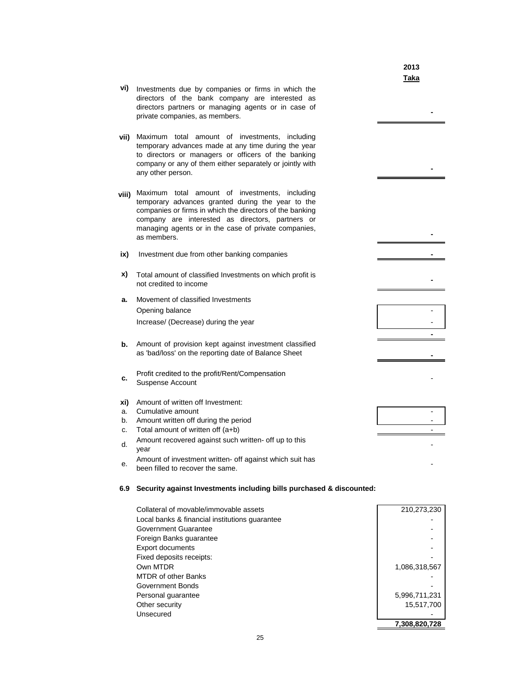|          |                                                                                                                                                                                                                                                                                               | 2013<br>Taka   |
|----------|-----------------------------------------------------------------------------------------------------------------------------------------------------------------------------------------------------------------------------------------------------------------------------------------------|----------------|
| vi)      | Investments due by companies or firms in which the<br>directors of the bank company are interested as<br>directors partners or managing agents or in case of<br>private companies, as members.                                                                                                |                |
| vii).    | Maximum total amount of investments, including<br>temporary advances made at any time during the year<br>to directors or managers or officers of the banking<br>company or any of them either separately or jointly with<br>any other person.                                                 |                |
| viii)    | Maximum total amount of investments,<br>including<br>temporary advances granted during the year to the<br>companies or firms in which the directors of the banking<br>company are interested as directors, partners or<br>managing agents or in the case of private companies,<br>as members. |                |
| ix)      | Investment due from other banking companies                                                                                                                                                                                                                                                   |                |
| x)       | Total amount of classified Investments on which profit is<br>not credited to income                                                                                                                                                                                                           |                |
| a.       | Movement of classified Investments                                                                                                                                                                                                                                                            |                |
|          | Opening balance<br>Increase/ (Decrease) during the year                                                                                                                                                                                                                                       |                |
|          |                                                                                                                                                                                                                                                                                               |                |
| b.       | Amount of provision kept against investment classified<br>as 'bad/loss' on the reporting date of Balance Sheet                                                                                                                                                                                |                |
| c.       | Profit credited to the profit/Rent/Compensation<br>Suspense Account                                                                                                                                                                                                                           |                |
| xi)      | Amount of written off Investment:                                                                                                                                                                                                                                                             |                |
| a.<br>b. | Cumulative amount<br>Amount written off during the period                                                                                                                                                                                                                                     | $\blacksquare$ |
| c.       | Total amount of written off (a+b)                                                                                                                                                                                                                                                             | $\overline{a}$ |
| d.       | Amount recovered against such written- off up to this<br>vear                                                                                                                                                                                                                                 |                |
| е.       | Amount of investment written- off against which suit has<br>been filled to recover the same.                                                                                                                                                                                                  |                |
| 6.9      | Security against Investments including bills purchased & discounted:                                                                                                                                                                                                                          |                |

| Collateral of movable/immovable assets         | 210,273,230   |
|------------------------------------------------|---------------|
| Local banks & financial institutions quarantee |               |
| Government Guarantee                           |               |
| Foreign Banks guarantee                        |               |
| <b>Export documents</b>                        |               |
| Fixed deposits receipts:                       |               |
| Own MTDR                                       | 1,086,318,567 |
| <b>MTDR of other Banks</b>                     |               |
| Government Bonds                               |               |
| Personal guarantee                             | 5,996,711,231 |
| Other security                                 | 15,517,700    |
| Unsecured                                      |               |
|                                                | 7.308.820.728 |

l,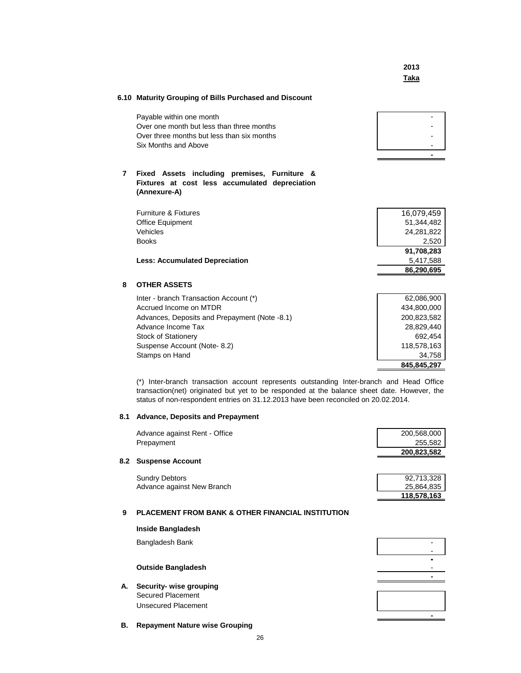**2013 Taka**

### **6.10 Maturity Grouping of Bills Purchased and Discount**

| Payable within one month                   |  |
|--------------------------------------------|--|
| Over one month but less than three months  |  |
| Over three months but less than six months |  |
| Six Months and Above                       |  |
|                                            |  |

### **7 Fixed Assets including premises, Furniture & Fixtures at cost less accumulated depreciation (Annexure-A)**

|                                       | 86,290,695 |
|---------------------------------------|------------|
| <b>Less: Accumulated Depreciation</b> | 5.417.588  |
|                                       | 91,708,283 |
| <b>Books</b>                          | 2.520      |
| Vehicles                              | 24.281.822 |
| Office Equipment                      | 51,344,482 |
| Furniture & Fixtures                  | 16,079,459 |
|                                       |            |

### **8 OTHER ASSETS**

| Inter - branch Transaction Account (*)        | 62,086,900  |
|-----------------------------------------------|-------------|
| Accrued Income on MTDR                        | 434.800.000 |
| Advances, Deposits and Prepayment (Note -8.1) | 200,823,582 |
| Advance Income Tax                            | 28.829.440  |
| <b>Stock of Stationery</b>                    | 692.454     |
| Suspense Account (Note-8.2)                   | 118.578.163 |
| Stamps on Hand                                | 34.758      |
|                                               | 845.845.297 |

(\*) Inter-branch transaction account represents outstanding Inter-branch and Head Office transaction(net) originated but yet to be responded at the balance sheet date. However, the status of non-respondent entries on 31.12.2013 have been reconciled on 20.02.2014.

#### **8.1 Advance, Deposits and Prepayment**

Advance against New Branch

| Advance against Rent - Office | 200,568,000 |
|-------------------------------|-------------|
| Prepayment                    | 255,582     |
|                               | 200,823,582 |
| 8.2 Suspense Account          |             |
| <b>Sundry Debtors</b>         | 92.713.328  |

| 118.578.163 |
|-------------|
| 25,864,835  |
| 92.713.328  |

#### **9 PLACEMENT FROM BANK & OTHER FINANCIAL INSTITUTION**

|    | <b>Inside Bangladesh</b>                     |  |
|----|----------------------------------------------|--|
|    | Bangladesh Bank                              |  |
|    | <b>Outside Bangladesh</b>                    |  |
| А. | Security- wise grouping<br>Secured Placement |  |
|    | Unsecured Placement                          |  |
| В. | <b>Repayment Nature wise Grouping</b>        |  |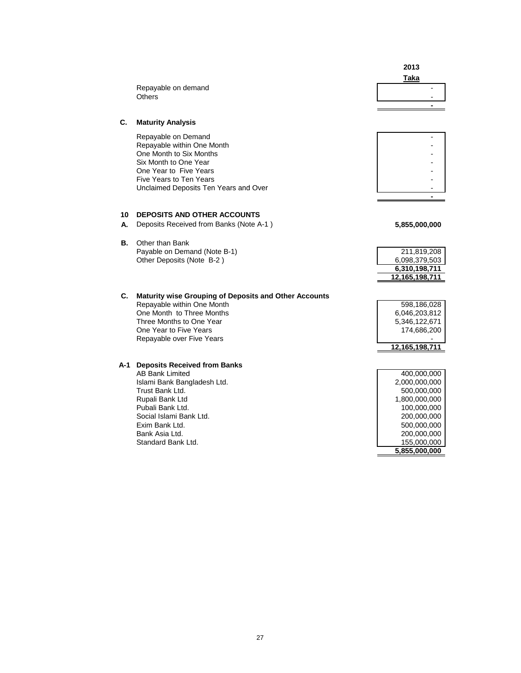|     |                                                              | 2013<br><b>Taka</b> |
|-----|--------------------------------------------------------------|---------------------|
|     | Repayable on demand                                          |                     |
|     | <b>Others</b>                                                |                     |
|     |                                                              |                     |
| C.  | <b>Maturity Analysis</b>                                     |                     |
|     | Repayable on Demand                                          |                     |
|     | Repayable within One Month<br>One Month to Six Months        |                     |
|     | Six Month to One Year                                        |                     |
|     | One Year to Five Years                                       |                     |
|     | Five Years to Ten Years                                      |                     |
|     | Unclaimed Deposits Ten Years and Over                        |                     |
|     |                                                              |                     |
| 10  | <b>DEPOSITS AND OTHER ACCOUNTS</b>                           |                     |
| А.  | Deposits Received from Banks (Note A-1)                      | 5,855,000,000       |
|     |                                                              |                     |
| В.  | Other than Bank                                              |                     |
|     | Payable on Demand (Note B-1)                                 | 211,819,208         |
|     | Other Deposits (Note B-2)                                    | 6,098,379,503       |
|     |                                                              | 6,310,198,711       |
|     |                                                              | 12,165,198,711      |
| С.  | <b>Maturity wise Grouping of Deposits and Other Accounts</b> |                     |
|     | Repayable within One Month                                   | 598,186,028         |
|     | One Month to Three Months                                    | 6,046,203,812       |
|     | Three Months to One Year                                     | 5,346,122,671       |
|     | One Year to Five Years                                       | 174,686,200         |
|     | Repayable over Five Years                                    |                     |
|     |                                                              | 12,165,198,711      |
| A-1 | <b>Deposits Received from Banks</b>                          |                     |
|     | <b>AB Bank Limited</b>                                       | 400,000,000         |
|     | Islami Bank Bangladesh Ltd.                                  | 2,000,000,000       |
|     | Trust Bank Ltd.                                              | 500,000,000         |
|     | Rupali Bank Ltd                                              | 1,800,000,000       |
|     | Pubali Bank Ltd.                                             | 100,000,000         |
|     | Social Islami Bank Ltd.                                      | 200,000,000         |
|     | Exim Bank Ltd.                                               | 500,000,000         |
|     | Bank Asia Ltd.<br>Standard Bank Ltd.                         | 200,000,000         |
|     |                                                              | 155,000,000         |

 **5,855,000,000**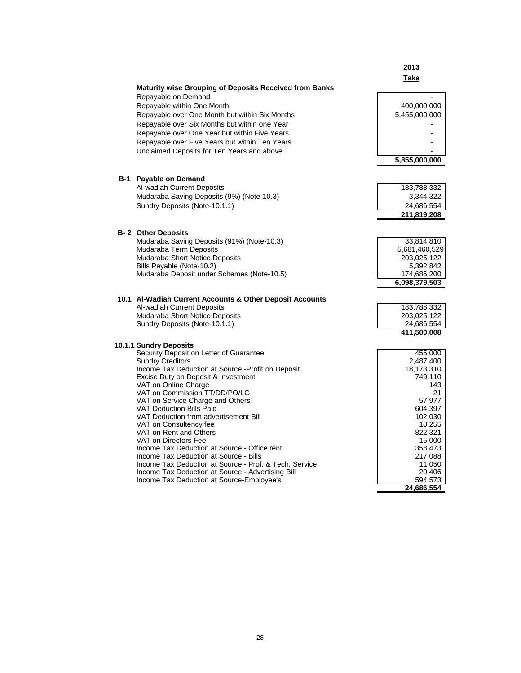|                                                               | 2013              |
|---------------------------------------------------------------|-------------------|
|                                                               | Taka              |
| <b>Maturity wise Grouping of Deposits Received from Banks</b> |                   |
| Repayable on Demand                                           |                   |
| Repayable within One Month                                    | 400,000,000       |
| Repayable over One Month but within Six Months                | 5,455,000,000     |
| Repayable over Six Months but within one Year                 |                   |
|                                                               |                   |
| Repayable over One Year but within Five Years                 |                   |
| Repayable over Five Years but within Ten Years                |                   |
| Unclaimed Deposits for Ten Years and above                    |                   |
|                                                               | 5,855,000,000     |
|                                                               |                   |
| <b>B-1</b> Payable on Demand                                  |                   |
| Al-wadiah Current Deposits                                    | 183,788,332       |
| Mudaraba Saving Deposits (9%) (Note-10.3)                     | 3,344,322         |
| Sundry Deposits (Note-10.1.1)                                 | 24,686,554        |
|                                                               | 211,819,208       |
|                                                               |                   |
| <b>B-2 Other Deposits</b>                                     |                   |
| Mudaraba Saving Deposits (91%) (Note-10.3)                    | 33,814,810        |
| Mudaraba Term Deposits                                        | 5,681,460,529     |
| Mudaraba Short Notice Deposits                                | 203,025,122       |
| Bills Payable (Note-10.2)                                     | 5,392,842         |
| Mudaraba Deposit under Schemes (Note-10.5)                    | 174,686,200       |
|                                                               | 6,098,379,503     |
|                                                               |                   |
| 10.1 Al-Wadiah Current Accounts & Other Deposit Accounts      |                   |
| Al-wadiah Current Deposits                                    | 183,788,332       |
| Mudaraba Short Notice Deposits                                | 203,025,122       |
| Sundry Deposits (Note-10.1.1)                                 | 24,686,554        |
|                                                               | 411,500,008       |
| 10.1.1 Sundry Deposits                                        |                   |
| Security Deposit on Letter of Guarantee                       | 455,000           |
| <b>Sundry Creditors</b>                                       | 2,487,400         |
| Income Tax Deduction at Source - Profit on Deposit            | 18,173,310        |
| Excise Duty on Deposit & Investment                           | 749,110           |
| VAT on Online Charge                                          | 143               |
| VAT on Commission TT/DD/PO/LG                                 | 21                |
| VAT on Service Charge and Others                              | 57,977            |
| <b>VAT Deduction Bills Paid</b>                               | 604,397           |
| VAT Deduction from advertisement Bill                         | 102,030           |
| VAT on Consultency fee<br>VAT on Rent and Others              | 18,255            |
| VAT on Directors Fee                                          | 822,321<br>15,000 |
| Income Tax Deduction at Source - Office rent                  | 358,473           |
| Income Tax Deduction at Source - Bills                        | 217,088           |
| Income Tax Deduction at Source - Prof. & Tech. Service        | 11,050            |
| Income Tax Deduction at Source - Advertising Bill             | 20,406            |
| Income Tax Deduction at Source-Employee's                     | 594,573           |
|                                                               | 24,686,554        |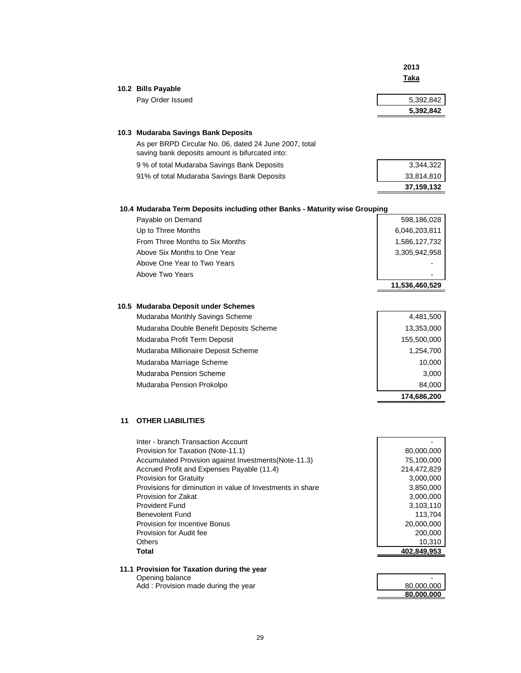|    |                                                                            | 2013                  |
|----|----------------------------------------------------------------------------|-----------------------|
|    |                                                                            | <b>Taka</b>           |
|    | 10.2 Bills Payable                                                         |                       |
|    | Pay Order Issued                                                           | 5,392,842             |
|    |                                                                            | 5,392,842             |
|    | 10.3 Mudaraba Savings Bank Deposits                                        |                       |
|    | As per BRPD Circular No. 06, dated 24 June 2007, total                     |                       |
|    | saving bank deposits amount is bifurcated into:                            |                       |
|    | 9 % of total Mudaraba Savings Bank Deposits                                | 3,344,322             |
|    | 91% of total Mudaraba Savings Bank Deposits                                | 33,814,810            |
|    |                                                                            | 37,159,132            |
|    | 10.4 Mudaraba Term Deposits including other Banks - Maturity wise Grouping |                       |
|    | Payable on Demand                                                          | 598,186,028           |
|    | Up to Three Months                                                         | 6,046,203,811         |
|    | From Three Months to Six Months                                            | 1,586,127,732         |
|    | Above Six Months to One Year                                               | 3,305,942,958         |
|    | Above One Year to Two Years                                                |                       |
|    | Above Two Years                                                            |                       |
|    |                                                                            | 11,536,460,529        |
|    |                                                                            |                       |
|    | 10.5 Mudaraba Deposit under Schemes                                        |                       |
|    | Mudaraba Monthly Savings Scheme                                            | 4,481,500             |
|    | Mudaraba Double Benefit Deposits Scheme                                    | 13,353,000            |
|    | Mudaraba Profit Term Deposit                                               | 155,500,000           |
|    | Mudaraba Millionaire Deposit Scheme                                        | 1,254,700             |
|    | Mudaraba Marriage Scheme                                                   | 10,000                |
|    | Mudaraba Pension Scheme                                                    | 3,000                 |
|    | Mudaraba Pension Prokolpo                                                  | 84,000                |
|    |                                                                            | 174,686,200           |
| 11 | <b>OTHER LIABILITIES</b>                                                   |                       |
|    |                                                                            |                       |
|    | Inter - branch Transaction Account<br>Provision for Taxation (Note-11.1)   | 80,000,000            |
|    | Accumulated Provision against Investments (Note-11.3)                      | 75,100,000            |
|    | Accrued Profit and Expenses Payable (11.4)                                 | 214,472,829           |
|    | Provision for Gratuity                                                     | 3,000,000             |
|    | Provisions for diminution in value of Investments in share                 | 3,850,000             |
|    | <b>Provision for Zakat</b>                                                 | 3,000,000             |
|    | <b>Provident Fund</b><br><b>Benevolent Fund</b>                            | 3,103,110             |
|    | Provision for Incentive Bonus                                              | 113,704<br>20,000,000 |
|    | Provision for Audit fee                                                    | 200,000               |
|    |                                                                            |                       |
|    | Others                                                                     | 10,310                |

| Add: Provision made during the year | 80,000,000 |
|-------------------------------------|------------|

| 80,000,000 |
|------------|
| 80,000,000 |
|            |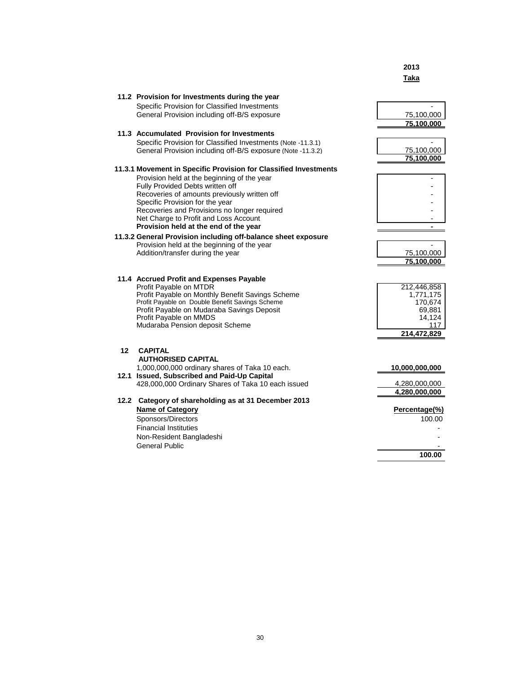|                  |                                                                                               | Taka              |
|------------------|-----------------------------------------------------------------------------------------------|-------------------|
|                  | 11.2 Provision for Investments during the year                                                |                   |
|                  | Specific Provision for Classified Investments                                                 |                   |
|                  | General Provision including off-B/S exposure                                                  | 75,100,000        |
|                  |                                                                                               | 75,100,000        |
|                  |                                                                                               |                   |
|                  | 11.3 Accumulated Provision for Investments                                                    |                   |
|                  | Specific Provision for Classified Investments (Note -11.3.1)                                  |                   |
|                  | General Provision including off-B/S exposure (Note -11.3.2)                                   | 75,100,000        |
|                  |                                                                                               | 75,100,000        |
|                  | 11.3.1 Movement in Specific Provision for Classified Investments                              |                   |
|                  | Provision held at the beginning of the year                                                   |                   |
|                  | Fully Provided Debts written off                                                              |                   |
|                  | Recoveries of amounts previously written off                                                  |                   |
|                  | Specific Provision for the year                                                               |                   |
|                  | Recoveries and Provisions no longer required                                                  |                   |
|                  | Net Charge to Profit and Loss Account                                                         |                   |
|                  | Provision held at the end of the year                                                         |                   |
|                  | 11.3.2 General Provision including off-balance sheet exposure                                 |                   |
|                  | Provision held at the beginning of the year                                                   |                   |
|                  | Addition/transfer during the year                                                             | 75,100,000        |
|                  |                                                                                               | 75,100,000        |
|                  |                                                                                               |                   |
|                  | 11.4 Accrued Profit and Expenses Payable                                                      |                   |
|                  | Profit Payable on MTDR                                                                        | 212,446,858       |
|                  | Profit Payable on Monthly Benefit Savings Scheme                                              | 1,771,175         |
|                  | Profit Payable on Double Benefit Savings Scheme<br>Profit Payable on Mudaraba Savings Deposit | 170,674<br>69,881 |
|                  | Profit Payable on MMDS                                                                        | 14,124            |
|                  | Mudaraba Pension deposit Scheme                                                               | 117               |
|                  |                                                                                               | 214,472,829       |
| 12 <sup>12</sup> | <b>CAPITAL</b>                                                                                |                   |
|                  | <b>AUTHORISED CAPITAL</b>                                                                     |                   |
|                  |                                                                                               |                   |
|                  | 1,000,000,000 ordinary shares of Taka 10 each.<br>12.1 Issued, Subscribed and Paid-Up Capital | 10,000,000,000    |
|                  | 428,000,000 Ordinary Shares of Taka 10 each issued                                            | 4,280,000,000     |
|                  |                                                                                               | 4,280,000,000     |
|                  |                                                                                               |                   |
|                  | 12.2 Category of shareholding as at 31 December 2013                                          |                   |
|                  | <b>Name of Category</b>                                                                       | Percentage(%)     |
|                  | Sponsors/Directors                                                                            | 100.00            |
|                  | <b>Financial Instituties</b>                                                                  |                   |
|                  | Non-Resident Bangladeshi                                                                      |                   |
|                  | <b>General Public</b>                                                                         |                   |
|                  |                                                                                               | 100.00            |
|                  |                                                                                               |                   |

**2013**

30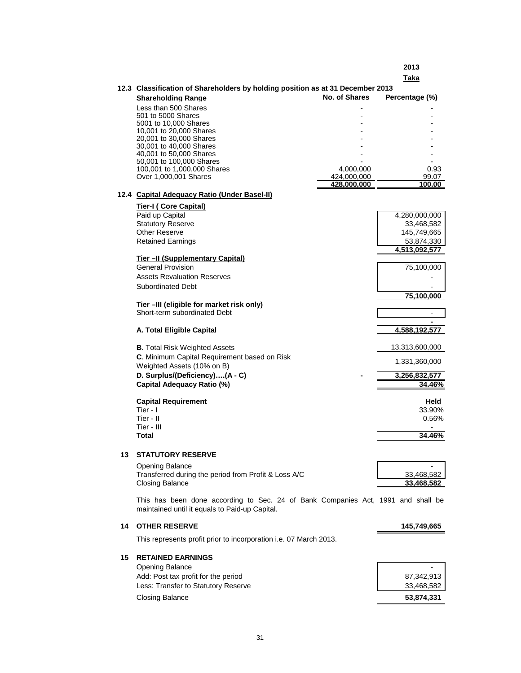**2013**

|    |                                                                                                                                    |               | Taka                            |
|----|------------------------------------------------------------------------------------------------------------------------------------|---------------|---------------------------------|
|    | 12.3 Classification of Shareholders by holding position as at 31 December 2013                                                     |               |                                 |
|    | <b>Shareholding Range</b>                                                                                                          | No. of Shares | Percentage (%)                  |
|    | Less than 500 Shares                                                                                                               |               |                                 |
|    | 501 to 5000 Shares                                                                                                                 |               |                                 |
|    | 5001 to 10,000 Shares<br>10,001 to 20,000 Shares                                                                                   |               |                                 |
|    | 20,001 to 30,000 Shares                                                                                                            |               |                                 |
|    | 30,001 to 40,000 Shares                                                                                                            |               |                                 |
|    | 40,001 to 50,000 Shares<br>50,001 to 100,000 Shares                                                                                |               |                                 |
|    | 100,001 to 1,000,000 Shares                                                                                                        | 4,000,000     | 0.93                            |
|    | Over 1,000,001 Shares                                                                                                              | 424,000,000   | 99.07                           |
|    |                                                                                                                                    | 428.000.000   | 100.00                          |
|    | 12.4 Capital Adequacy Ratio (Under Basel-II)                                                                                       |               |                                 |
|    | <b>Tier-I (Core Capital)</b>                                                                                                       |               |                                 |
|    | Paid up Capital                                                                                                                    |               | 4,280,000,000                   |
|    | <b>Statutory Reserve</b>                                                                                                           |               | 33,468,582                      |
|    | <b>Other Reserve</b><br><b>Retained Earnings</b>                                                                                   |               | 145,749,665                     |
|    |                                                                                                                                    |               | 53,874,330<br>4,513,092,577     |
|    | <b>Tier-II (Supplementary Capital)</b>                                                                                             |               |                                 |
|    | <b>General Provision</b>                                                                                                           |               | 75,100,000                      |
|    | <b>Assets Revaluation Reserves</b>                                                                                                 |               |                                 |
|    | <b>Subordinated Debt</b>                                                                                                           |               |                                 |
|    |                                                                                                                                    |               | 75,100,000                      |
|    | Tier-III (eligible for market risk only)                                                                                           |               |                                 |
|    | Short-term subordinated Debt                                                                                                       |               |                                 |
|    | A. Total Eligible Capital                                                                                                          |               | <u>4,588,192,577</u>            |
|    |                                                                                                                                    |               |                                 |
|    | <b>B.</b> Total Risk Weighted Assets                                                                                               |               | 13,313,600,000                  |
|    | C. Minimum Capital Requirement based on Risk                                                                                       |               | 1,331,360,000                   |
|    | Weighted Assets (10% on B)                                                                                                         |               |                                 |
|    | D. Surplus/(Deficiency)(A - C)                                                                                                     |               | 3,256,832,577                   |
|    | <b>Capital Adequacy Ratio (%)</b>                                                                                                  |               | 34.46%                          |
|    | <b>Capital Requirement</b>                                                                                                         |               | Held                            |
|    | Tier - $\mathsf I$                                                                                                                 |               | 33.90%                          |
|    | Tier - II                                                                                                                          |               | 0.56%                           |
|    | Tier - III                                                                                                                         |               | ÷                               |
|    | <b>Total</b>                                                                                                                       |               | 34.46%                          |
|    |                                                                                                                                    |               |                                 |
| 13 | <b>STATUTORY RESERVE</b>                                                                                                           |               |                                 |
|    | <b>Opening Balance</b>                                                                                                             |               |                                 |
|    | Transferred during the period from Profit & Loss A/C<br><b>Closing Balance</b>                                                     |               | 33,468,582<br><u>33,468,582</u> |
|    |                                                                                                                                    |               |                                 |
|    | This has been done according to Sec. 24 of Bank Companies Act, 1991 and shall be<br>maintained until it equals to Paid-up Capital. |               |                                 |
| 14 | <b>OTHER RESERVE</b>                                                                                                               |               | 145,749,665                     |
|    | This represents profit prior to incorporation i.e. 07 March 2013.                                                                  |               |                                 |
|    |                                                                                                                                    |               |                                 |
| 15 | <b>RETAINED EARNINGS</b>                                                                                                           |               |                                 |
|    | <b>Opening Balance</b>                                                                                                             |               |                                 |
|    | Add: Post tax profit for the period                                                                                                |               | 87,342,913                      |
|    | Less: Transfer to Statutory Reserve                                                                                                |               | 33,468,582                      |
|    | <b>Closing Balance</b>                                                                                                             |               | 53,874,331                      |

J.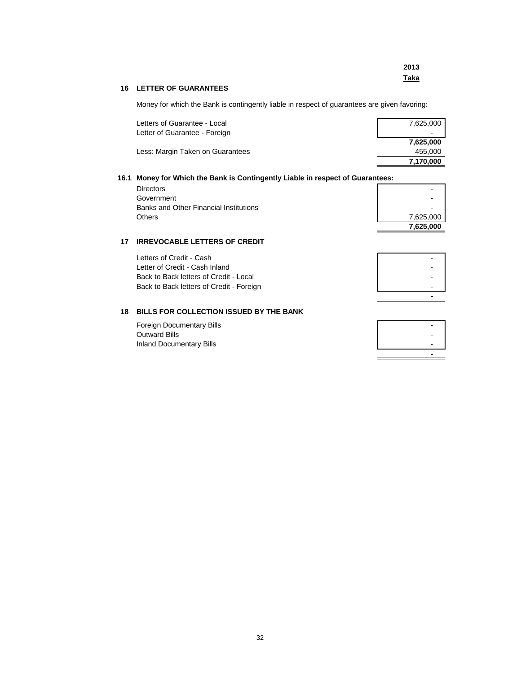|                                | 2013        |
|--------------------------------|-------------|
|                                | <u>Taka</u> |
| <b>16 LETTER OF GUARANTEES</b> |             |
|                                |             |

Money for which the Bank is contingently liable in respect of guarantees are given favoring:

| Letters of Guarantee - Local     | 7,625,000                |
|----------------------------------|--------------------------|
| Letter of Guarantee - Foreign    | $\overline{\phantom{a}}$ |
|                                  | 7,625,000                |
| Less: Margin Taken on Guarantees | 455.000                  |
|                                  | 7,170,000                |

# **16.1 Money for Which the Bank is Contingently Liable in respect of Guarantees:**

| <b>Directors</b>                       |           |
|----------------------------------------|-----------|
| Government                             |           |
| Banks and Other Financial Institutions |           |
| <b>Others</b>                          | 7,625,000 |
|                                        | 7,625,000 |

# **17 IRREVOCABLE LETTERS OF CREDIT**

| Letters of Credit - Cash                 |  |
|------------------------------------------|--|
| Letter of Credit - Cash Inland           |  |
| Back to Back letters of Credit - Local   |  |
| Back to Back letters of Credit - Foreign |  |
|                                          |  |

# **18 BILLS FOR COLLECTION ISSUED BY THE BANK**

| Foreign Documentary Bills | - |
|---------------------------|---|
| Outward Bills             |   |
| Inland Documentary Bills  | - |
|                           |   |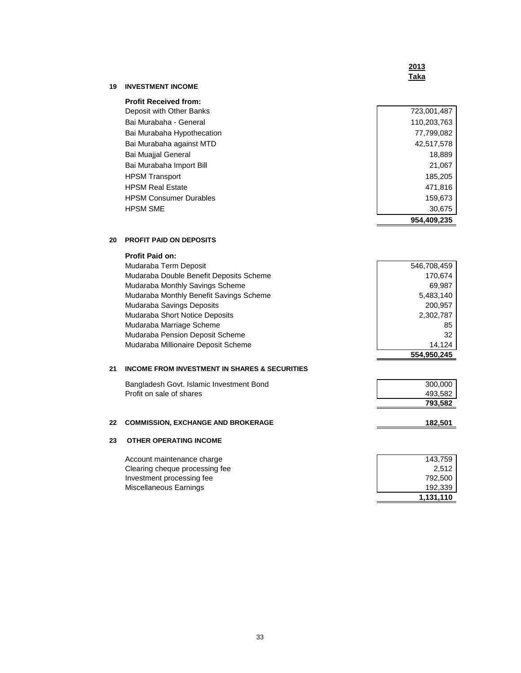### **2013 Taka**

# **19 INVESTMENT INCOME**

| <b>Profit Received from:</b>  |             |
|-------------------------------|-------------|
| Deposit with Other Banks      | 723,001,487 |
| Bai Murabaha - General        | 110,203,763 |
| Bai Murabaha Hypothecation    | 77,799,082  |
| Bai Murabaha against MTD      | 42.517.578  |
| Bai Muajjal General           | 18,889      |
| Bai Murabaha Import Bill      | 21,067      |
| <b>HPSM Transport</b>         | 185,205     |
| <b>HPSM Real Estate</b>       | 471,816     |
| <b>HPSM Consumer Durables</b> | 159,673     |
| <b>HPSM SME</b>               | 30,675      |
|                               | 954.409.235 |

#### **20 PROFIT PAID ON DEPOSITS**

|    | <b>Profit Paid on:</b>                                   |                |
|----|----------------------------------------------------------|----------------|
|    | Mudaraba Term Deposit                                    | 546,708,459    |
|    | Mudaraba Double Benefit Deposits Scheme                  | 170,674        |
|    | Mudaraba Monthly Savings Scheme                          | 69,987         |
|    | Mudaraba Monthly Benefit Savings Scheme                  | 5,483,140      |
|    | Mudaraba Savings Deposits                                | 200,957        |
|    | Mudaraba Short Notice Deposits                           | 2,302,787      |
|    | Mudaraba Marriage Scheme                                 | 85             |
|    | Mudaraba Pension Deposit Scheme                          | 32             |
|    | Mudaraba Millionaire Deposit Scheme                      | 14,124         |
|    |                                                          | 554,950,245    |
| 21 | <b>INCOME FROM INVESTMENT IN SHARES &amp; SECURITIES</b> |                |
|    | Bangladesh Govt. Islamic Investment Bond                 | 300,000        |
|    | Profit on sale of shares                                 | 493,582        |
|    |                                                          | 793,582        |
| 22 | <b>COMMISSION, EXCHANGE AND BROKERAGE</b>                | <u>182,501</u> |
| 23 | <b>OTHER OPERATING INCOME</b>                            |                |
|    | Account maintenance charge                               | 143,759        |
|    | Clearing cheque processing fee                           | 2,512          |
|    | Investment processing fee                                | 792,500        |
|    | Miscellaneous Earnings                                   | 192,339        |
|    |                                                          | 1,131,110      |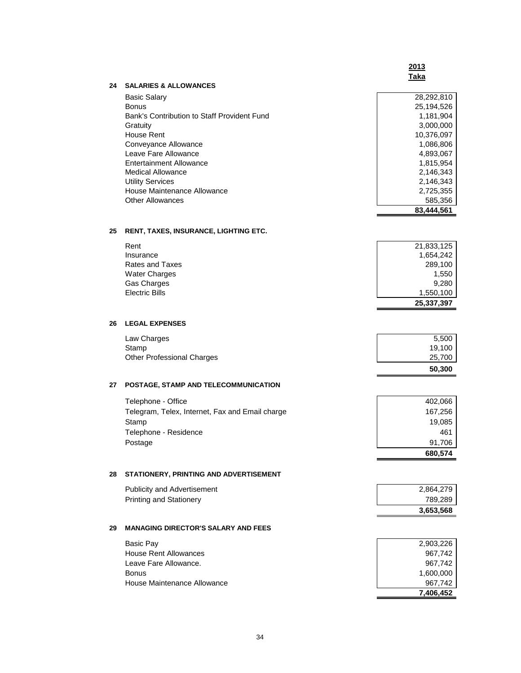**83,444,561**

#### **24 SALARIES & ALLOWANCES**

Basic Salary 28,292,810 Bonus 25,194,526<br>Bank's Contribution to Staff Provident Fund 1,181,904 Bank's Contribution to Staff Provident Fund Gratuity 3,000,000 House Rent 10,376,097 Conveyance Allowance 1,086,806 and 1,086,806 and 1,086,806 and 1,086,806 and 1,086,806 and 1,086,806 and 1,086,806 and 1,086,806 and 1,086,806 and 1,086,806 and 1,086,806 and 1,086,806 and 1,086,806 and 1,086,806 and 1,086 Leave Fare Allowance Entertainment Allowance 1,815,954 Medical Allowance 2,146,343<br>
Utility Services 2,146,343<br>
2,146,343<br>
2,146,343 Utility Services House Maintenance Allowance 2,725,355 Other Allowances 585,356

#### **25 RENT, TAXES, INSURANCE, LIGHTING ETC.**

| Rent                 | 21,833,125 |
|----------------------|------------|
| Insurance            | 1,654,242  |
| Rates and Taxes      | 289,100    |
| <b>Water Charges</b> | 1,550      |
| Gas Charges          | 9.280      |
| Electric Bills       | 1,550,100  |
|                      | 25,337,397 |

### **26 LEGAL EXPENSES**

|                            | 50,300 |
|----------------------------|--------|
| Other Professional Charges | 25,700 |
| Stamp                      | 19.100 |
| Law Charges                | 5.500  |

#### **27 POSTAGE, STAMP AND TELECOMMUNICATION**

| Telephone - Office                              | 402,066 |
|-------------------------------------------------|---------|
| Telegram, Telex, Internet, Fax and Email charge | 167.256 |
| Stamp                                           | 19,085  |
| Telephone - Residence                           | 461     |
| Postage                                         | 91.706  |
|                                                 | 680.574 |

#### **28 STATIONERY, PRINTING AND ADVERTISEMENT**

| Publicity and Advertisement | 2.864.279 |
|-----------------------------|-----------|
| Printing and Stationery     | 789.289   |
|                             | 3.653.568 |

# **29 MANAGING DIRECTOR'S SALARY AND FEES**

| Basic Pay                   | 2,903,226 |
|-----------------------------|-----------|
| House Rent Allowances       | 967.742   |
| Leave Fare Allowance.       | 967.742   |
| <b>Bonus</b>                | 1.600.000 |
| House Maintenance Allowance | 967.742   |
|                             | 7.406.452 |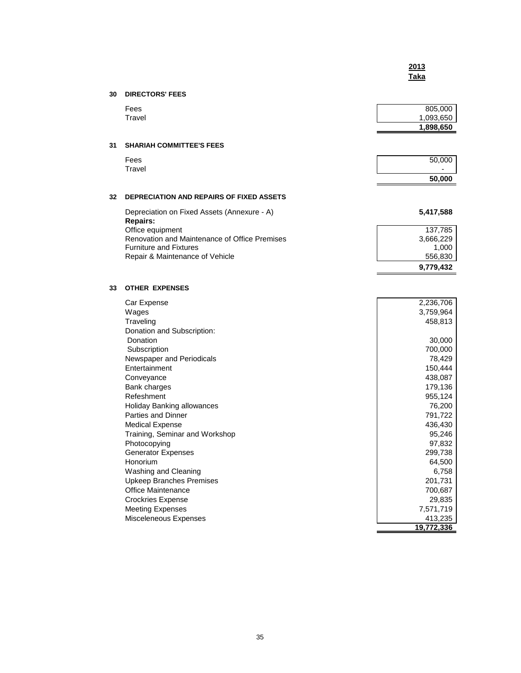# **30 DIRECTORS' FEES**

|    | Fees<br>Travel                                                 | 805,000<br>1,093,650 |
|----|----------------------------------------------------------------|----------------------|
|    |                                                                | 1,898,650            |
| 31 | <b>SHARIAH COMMITTEE'S FEES</b>                                |                      |
|    | Fees                                                           | 50,000               |
|    | Travel                                                         | 50,000               |
| 32 | <b>DEPRECIATION AND REPAIRS OF FIXED ASSETS</b>                |                      |
|    | Depreciation on Fixed Assets (Annexure - A)<br><b>Repairs:</b> | 5,417,588            |
|    | Office equipment                                               | 137,785              |
|    | Renovation and Maintenance of Office Premises                  | 3,666,229            |
|    | <b>Furniture and Fixtures</b>                                  | 1,000                |
|    | Repair & Maintenance of Vehicle                                | 556,830              |
|    |                                                                | 9,779,432            |

### **33 OTHER EXPENSES**

| Car Expense                     | 2,236,706  |
|---------------------------------|------------|
| Wages                           | 3,759,964  |
| Traveling                       | 458,813    |
| Donation and Subscription:      |            |
| Donation                        | 30,000     |
| Subscription                    | 700,000    |
| Newspaper and Periodicals       | 78,429     |
| <b>Fntertainment</b>            | 150,444    |
| Conveyance                      | 438,087    |
| Bank charges                    | 179,136    |
| Refeshment                      | 955,124    |
| Holiday Banking allowances      | 76,200     |
| Parties and Dinner              | 791,722    |
| <b>Medical Expense</b>          | 436,430    |
| Training, Seminar and Workshop  | 95,246     |
| Photocopying                    | 97,832     |
| <b>Generator Expenses</b>       | 299,738    |
| Honorium                        | 64,500     |
| Washing and Cleaning            | 6,758      |
| <b>Upkeep Branches Premises</b> | 201,731    |
| Office Maintenance              | 700,687    |
| <b>Crockries Expense</b>        | 29,835     |
| <b>Meeting Expenses</b>         | 7,571,719  |
| Misceleneous Expenses           | 413,235    |
|                                 | 19,772,336 |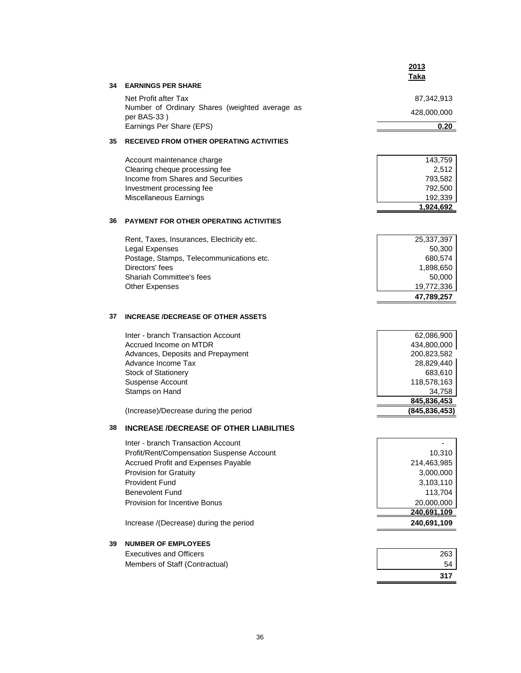|    |                                                               | <u>2013</u><br>Taka            |
|----|---------------------------------------------------------------|--------------------------------|
| 34 | <b>EARNINGS PER SHARE</b>                                     |                                |
|    | Net Profit after Tax                                          | 87,342,913                     |
|    | Number of Ordinary Shares (weighted average as<br>per BAS-33) | 428,000,000                    |
|    | Earnings Per Share (EPS)                                      | 0.20                           |
| 35 | <b>RECEIVED FROM OTHER OPERATING ACTIVITIES</b>               |                                |
|    | Account maintenance charge                                    | 143,759                        |
|    | Clearing cheque processing fee                                | 2,512                          |
|    | Income from Shares and Securities                             | 793,582                        |
|    | Investment processing fee                                     | 792,500                        |
|    | Miscellaneous Earnings                                        | 192,339                        |
|    |                                                               | 1,924,692                      |
| 36 | <b>PAYMENT FOR OTHER OPERATING ACTIVITIES</b>                 |                                |
|    | Rent, Taxes, Insurances, Electricity etc.                     | 25,337,397                     |
|    | Legal Expenses                                                | 50,300                         |
|    | Postage, Stamps, Telecommunications etc.                      | 680,574                        |
|    | Directors' fees                                               | 1,898,650                      |
|    | <b>Shariah Committee's fees</b>                               | 50,000                         |
|    | <b>Other Expenses</b>                                         | 19,772,336                     |
|    |                                                               | 47,789,257                     |
| 37 | <b>INCREASE /DECREASE OF OTHER ASSETS</b>                     |                                |
|    | Inter - branch Transaction Account                            | 62,086,900                     |
|    | Accrued Income on MTDR                                        | 434,800,000                    |
|    | Advances, Deposits and Prepayment                             | 200,823,582                    |
|    | Advance Income Tax                                            | 28,829,440                     |
|    | <b>Stock of Stationery</b>                                    | 683,610                        |
|    | Suspense Account                                              | 118,578,163                    |
|    | Stamps on Hand                                                | 34,758                         |
|    | (Increase)/Decrease during the period                         | 845,836,453<br>(845, 836, 453) |
|    |                                                               |                                |
| 38 | <b>INCREASE /DECREASE OF OTHER LIABILITIES</b>                |                                |
|    | Inter - branch Transaction Account                            |                                |
|    | Profit/Rent/Compensation Suspense Account                     | 10,310                         |
|    | Accrued Profit and Expenses Payable                           | 214,463,985                    |
|    | Provision for Gratuity                                        | 3,000,000                      |
|    | <b>Provident Fund</b>                                         | 3,103,110                      |
|    | <b>Benevolent Fund</b>                                        | 113,704                        |
|    | Provision for Incentive Bonus                                 | 20,000,000                     |
|    |                                                               | 240.691.109                    |
|    | Increase /(Decrease) during the period                        | 240,691,109                    |
| 39 | <b>NUMBER OF EMPLOYEES</b>                                    |                                |
|    | <b>Executives and Officers</b>                                | 263                            |
|    | Members of Staff (Contractual)                                | 54                             |
|    |                                                               | 317                            |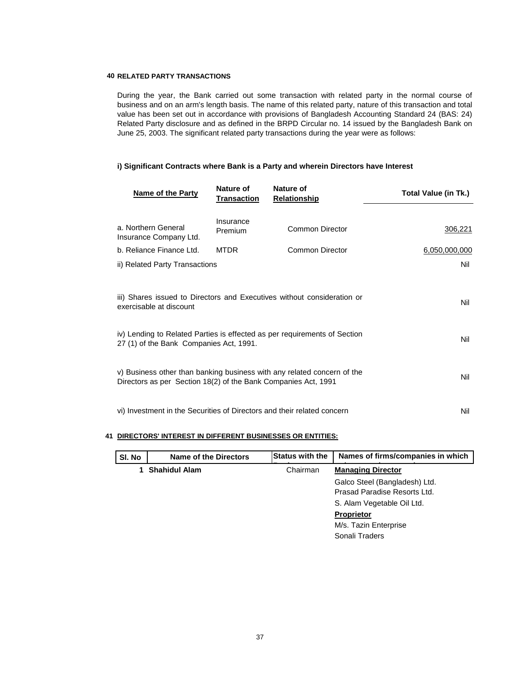#### **40 RELATED PARTY TRANSACTIONS**

During the year, the Bank carried out some transaction with related party in the normal course of business and on an arm's length basis. The name of this related party, nature of this transaction and total value has been set out in accordance with provisions of Bangladesh Accounting Standard 24 (BAS: 24) Related Party disclosure and as defined in the BRPD Circular no. 14 issued by the Bangladesh Bank on June 25, 2003. The significant related party transactions during the year were as follows:

#### **i) Significant Contracts where Bank is a Party and wherein Directors have Interest**

| Name of the Party                                                                                                                                                                    | Nature of<br><b>Transaction</b> | Nature of<br><b>Relationship</b> | Total Value (in Tk.) |
|--------------------------------------------------------------------------------------------------------------------------------------------------------------------------------------|---------------------------------|----------------------------------|----------------------|
| a. Northern General<br>Insurance Company Ltd.                                                                                                                                        | Insurance<br>Premium            | <b>Common Director</b>           | 306,221              |
| b. Reliance Finance Ltd.                                                                                                                                                             | MTDR.                           | Common Director                  | 6,050,000,000        |
| ii) Related Party Transactions                                                                                                                                                       |                                 |                                  | Nil                  |
| iii) Shares issued to Directors and Executives without consideration or<br>exercisable at discount<br>iv) Lending to Related Parties is effected as per requirements of Section      |                                 |                                  | Nil<br>Nil           |
| 27 (1) of the Bank Companies Act, 1991.<br>v) Business other than banking business with any related concern of the<br>Directors as per Section 18(2) of the Bank Companies Act, 1991 |                                 | Nil                              |                      |
| vi) Investment in the Securities of Directors and their related concern                                                                                                              |                                 | Nil                              |                      |

#### **41 DIRECTORS' INTEREST IN DIFFERENT BUSINESSES OR ENTITIES:**

| SI. No | Name of the Directors | <b>Status with the</b> | Names of firms/companies in which |
|--------|-----------------------|------------------------|-----------------------------------|
|        | <b>Shahidul Alam</b>  | Chairman               | <b>Managing Director</b>          |
|        |                       |                        | Galco Steel (Bangladesh) Ltd.     |
|        |                       |                        | Prasad Paradise Resorts Ltd.      |
|        |                       |                        | S. Alam Vegetable Oil Ltd.        |
|        |                       |                        | <b>Proprietor</b>                 |
|        |                       |                        | M/s. Tazin Enterprise             |
|        |                       |                        | Sonali Traders                    |
|        |                       |                        |                                   |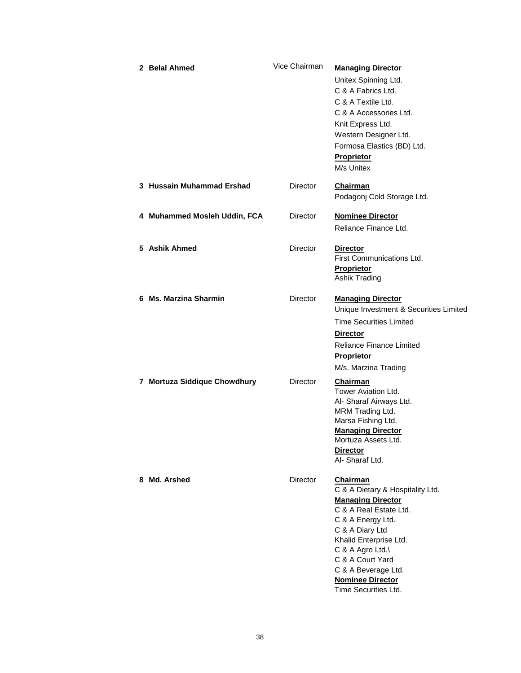| 2 Belal Ahmed                | Vice Chairman   | <b>Managing Director</b><br>Unitex Spinning Ltd.<br>C & A Fabrics Ltd.<br>C & A Textile Ltd.<br>C & A Accessories Ltd.<br>Knit Express Ltd.<br>Western Designer Ltd.<br>Formosa Elastics (BD) Ltd.<br>Proprietor<br>M/s Unitex                                                                |
|------------------------------|-----------------|-----------------------------------------------------------------------------------------------------------------------------------------------------------------------------------------------------------------------------------------------------------------------------------------------|
| 3 Hussain Muhammad Ershad    | Director        | Chairman<br>Podagonj Cold Storage Ltd.                                                                                                                                                                                                                                                        |
| 4 Muhammed Mosleh Uddin, FCA | Director        | <b>Nominee Director</b><br>Reliance Finance Ltd.                                                                                                                                                                                                                                              |
| 5 Ashik Ahmed                | Director        | <b>Director</b><br>First Communications Ltd.<br>Proprietor<br>Ashik Trading                                                                                                                                                                                                                   |
| 6 Ms. Marzina Sharmin        | <b>Director</b> | <b>Managing Director</b><br>Unique Investment & Securities Limited<br><b>Time Securities Limited</b><br><b>Director</b><br>Reliance Finance Limited<br>Proprietor<br>M/s. Marzina Trading                                                                                                     |
| 7 Mortuza Siddique Chowdhury | <b>Director</b> | Chairman<br>Tower Aviation Ltd.<br>Al- Sharaf Airways Ltd.<br>MRM Trading Ltd.<br>Marsa Fishing Ltd.<br><b>Managing Director</b><br>Mortuza Assets Ltd.<br><b>Director</b><br>Al- Sharaf Ltd.                                                                                                 |
| 8 Md. Arshed                 | <b>Director</b> | <b>Chairman</b><br>C & A Dietary & Hospitality Ltd.<br><b>Managing Director</b><br>C & A Real Estate Ltd.<br>C & A Energy Ltd.<br>C & A Diary Ltd<br>Khalid Enterprise Ltd.<br>C & A Agro Ltd.\<br>C & A Court Yard<br>C & A Beverage Ltd.<br><b>Nominee Director</b><br>Time Securities Ltd. |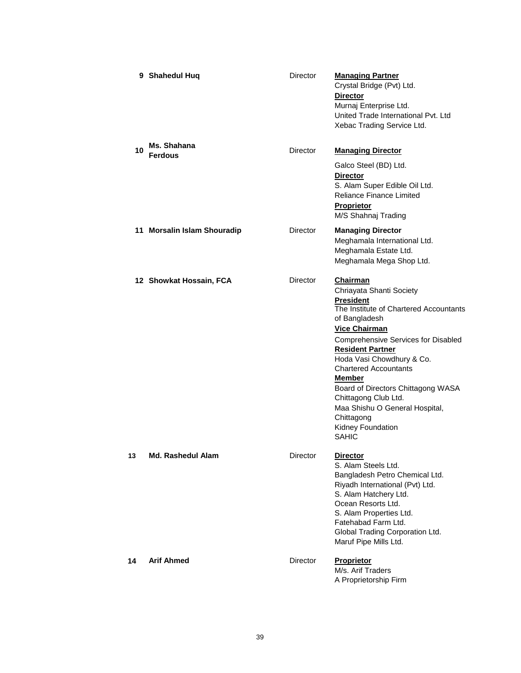|    | 9 Shahedul Huq                | <b>Director</b> | <b>Managing Partner</b><br>Crystal Bridge (Pvt) Ltd.<br><b>Director</b><br>Murnaj Enterprise Ltd.<br>United Trade International Pvt. Ltd<br>Xebac Trading Service Ltd.                                                                                                                                                                                                                                                                                       |
|----|-------------------------------|-----------------|--------------------------------------------------------------------------------------------------------------------------------------------------------------------------------------------------------------------------------------------------------------------------------------------------------------------------------------------------------------------------------------------------------------------------------------------------------------|
| 10 | Ms. Shahana<br><b>Ferdous</b> | <b>Director</b> | <b>Managing Director</b><br>Galco Steel (BD) Ltd.<br><b>Director</b><br>S. Alam Super Edible Oil Ltd.<br><b>Reliance Finance Limited</b><br><b>Proprietor</b><br>M/S Shahnaj Trading                                                                                                                                                                                                                                                                         |
|    | 11 Morsalin Islam Shouradip   | Director        | <b>Managing Director</b><br>Meghamala International Ltd.<br>Meghamala Estate Ltd.<br>Meghamala Mega Shop Ltd.                                                                                                                                                                                                                                                                                                                                                |
|    | 12 Showkat Hossain, FCA       | <b>Director</b> | <b>Chairman</b><br>Chriayata Shanti Society<br><b>President</b><br>The Institute of Chartered Accountants<br>of Bangladesh<br><b>Vice Chairman</b><br><b>Comprehensive Services for Disabled</b><br><b>Resident Partner</b><br>Hoda Vasi Chowdhury & Co.<br><b>Chartered Accountants</b><br><b>Member</b><br>Board of Directors Chittagong WASA<br>Chittagong Club Ltd.<br>Maa Shishu O General Hospital,<br>Chittagong<br>Kidney Foundation<br><b>SAHIC</b> |
| 13 | <b>Md. Rashedul Alam</b>      | <b>Director</b> | <b>Director</b><br>S. Alam Steels Ltd.<br>Bangladesh Petro Chemical Ltd.<br>Riyadh International (Pvt) Ltd.<br>S. Alam Hatchery Ltd.<br>Ocean Resorts Ltd.<br>S. Alam Properties Ltd.<br>Fatehabad Farm Ltd.<br>Global Trading Corporation Ltd.<br>Maruf Pipe Mills Ltd.                                                                                                                                                                                     |
| 14 | <b>Arif Ahmed</b>             | <b>Director</b> | <b>Proprietor</b><br>M/s. Arif Traders<br>A Proprietorship Firm                                                                                                                                                                                                                                                                                                                                                                                              |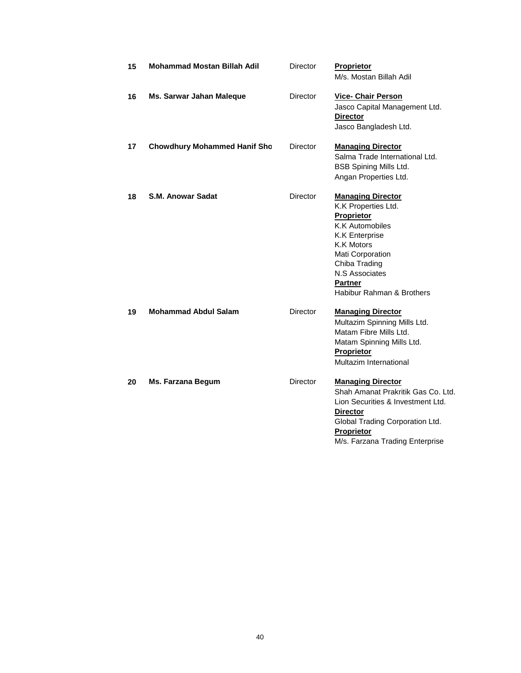| 15 | <b>Mohammad Mostan Billah Adil</b>  | Director        | <b>Proprietor</b><br>M/s. Mostan Billah Adil                                                                                                                                                                                                       |
|----|-------------------------------------|-----------------|----------------------------------------------------------------------------------------------------------------------------------------------------------------------------------------------------------------------------------------------------|
| 16 | Ms. Sarwar Jahan Maleque            | Director        | <b>Vice- Chair Person</b><br>Jasco Capital Management Ltd.<br><b>Director</b><br>Jasco Bangladesh Ltd.                                                                                                                                             |
| 17 | <b>Chowdhury Mohammed Hanif Sho</b> | Director        | <b>Managing Director</b><br>Salma Trade International Ltd.<br><b>BSB Spining Mills Ltd.</b><br>Angan Properties Ltd.                                                                                                                               |
| 18 | <b>S.M. Anowar Sadat</b>            | Director        | <b>Managing Director</b><br>K.K Properties Ltd.<br>Proprietor<br><b>K.K Automobiles</b><br><b>K.K Enterprise</b><br><b>K.K Motors</b><br>Mati Corporation<br>Chiba Trading<br><b>N.S Associates</b><br><b>Partner</b><br>Habibur Rahman & Brothers |
| 19 | <b>Mohammad Abdul Salam</b>         | Director        | <b>Managing Director</b><br>Multazim Spinning Mills Ltd.<br>Matam Fibre Mills Ltd.<br>Matam Spinning Mills Ltd.<br>Proprietor<br>Multazim International                                                                                            |
| 20 | <b>Ms. Farzana Begum</b>            | <b>Director</b> | <b>Managing Director</b><br>Shah Amanat Prakritik Gas Co. Ltd.<br>Lion Securities & Investment Ltd.<br><b>Director</b><br>Global Trading Corporation Ltd.<br>Proprietor<br>M/s. Farzana Trading Enterprise                                         |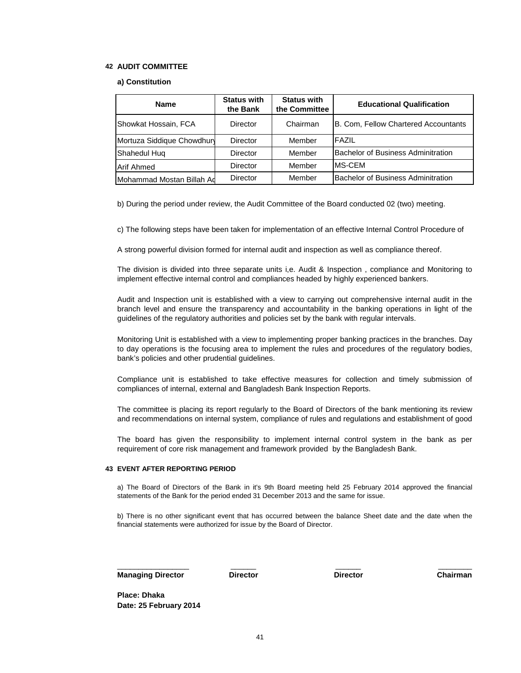#### **42 AUDIT COMMITTEE**

#### **a) Constitution**

| <b>Name</b>               | <b>Status with</b><br>the Bank | <b>Status with</b><br>the Committee | <b>Educational Qualification</b>          |  |  |
|---------------------------|--------------------------------|-------------------------------------|-------------------------------------------|--|--|
| Showkat Hossain, FCA      | Director                       | Chairman                            | B. Com, Fellow Chartered Accountants      |  |  |
| Mortuza Siddique Chowdhur | Director                       | Member                              | FAZIL                                     |  |  |
| Shahedul Hug              | Director                       | Member                              | <b>Bachelor of Business Adminitration</b> |  |  |
| <b>Arif Ahmed</b>         | Director                       | Member                              | MS-CEM                                    |  |  |
| Mohammad Mostan Billah Ad | <b>Director</b>                | Member                              | Bachelor of Business Adminitration        |  |  |

b) During the period under review, the Audit Committee of the Board conducted 02 (two) meeting.

c) The following steps have been taken for implementation of an effective Internal Control Procedure of

A strong powerful division formed for internal audit and inspection as well as compliance thereof.

The division is divided into three separate units i,e. Audit & Inspection , compliance and Monitoring to implement effective internal control and compliances headed by highly experienced bankers.

Audit and Inspection unit is established with a view to carrying out comprehensive internal audit in the branch level and ensure the transparency and accountability in the banking operations in light of the guidelines of the regulatory authorities and policies set by the bank with regular intervals.

Monitoring Unit is established with a view to implementing proper banking practices in the branches. Day to day operations is the focusing area to implement the rules and procedures of the regulatory bodies, bank's policies and other prudential guidelines.

Compliance unit is established to take effective measures for collection and timely submission of compliances of internal, external and Bangladesh Bank Inspection Reports.

The committee is placing its report regularly to the Board of Directors of the bank mentioning its review and recommendations on internal system, compliance of rules and regulations and establishment of good

The board has given the responsibility to implement internal control system in the bank as per requirement of core risk management and framework provided by the Bangladesh Bank.

#### **43 EVENT AFTER REPORTING PERIOD**

a) The Board of Directors of the Bank in it's 9th Board meeting held 25 February 2014 approved the financial statements of the Bank for the period ended 31 December 2013 and the same for issue.

b) There is no other significant event that has occurred between the balance Sheet date and the date when the financial statements were authorized for issue by the Board of Director.

**Managing Director** \_\_\_\_\_\_\_\_\_\_\_\_\_\_\_\_\_

\_\_\_\_\_\_ \_\_\_\_\_\_ \_\_\_\_\_\_\_\_

**Director Director Chairman**

**Place: Dhaka Date: 25 February 2014**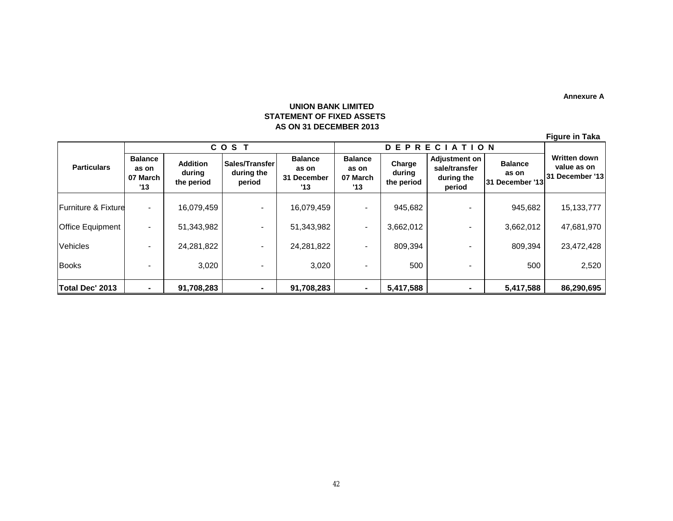**Annexure A**

# **UNION BANK LIMITED STATEMENT OF FIXED ASSETS AS ON 31 DECEMBER 2013**

| <b>Figure in Taka</b> |  |
|-----------------------|--|
|-----------------------|--|

|                         | COST                                       |                                         |                                        | DEP<br><b>RECIATION</b>                       |                                            |                                |                                                               |                                            |                                                       |  |
|-------------------------|--------------------------------------------|-----------------------------------------|----------------------------------------|-----------------------------------------------|--------------------------------------------|--------------------------------|---------------------------------------------------------------|--------------------------------------------|-------------------------------------------------------|--|
| <b>Particulars</b>      | <b>Balance</b><br>as on<br>07 March<br>'13 | <b>Addition</b><br>during<br>the period | Sales/Transfer<br>during the<br>period | <b>Balance</b><br>as on<br>31 December<br>'13 | <b>Balance</b><br>as on<br>07 March<br>'13 | Charge<br>during<br>the period | <b>Adjustment on</b><br>sale/transfer<br>during the<br>period | <b>Balance</b><br>as on<br>31 December '13 | <b>Written down</b><br>value as on<br>31 December '13 |  |
| Furniture & Fixture     |                                            | 16,079,459                              | $\blacksquare$                         | 16,079,459                                    |                                            | 945,682                        |                                                               | 945,682                                    | 15, 133, 777                                          |  |
| <b>Office Equipment</b> |                                            | 51,343,982                              |                                        | 51,343,982                                    |                                            | 3,662,012                      |                                                               | 3,662,012                                  | 47,681,970                                            |  |
| <b>Vehicles</b>         |                                            | 24,281,822                              |                                        | 24,281,822                                    | $\overline{\phantom{0}}$                   | 809,394                        |                                                               | 809,394                                    | 23,472,428                                            |  |
| <b>Books</b>            |                                            | 3,020                                   |                                        | 3,020                                         |                                            | 500                            |                                                               | 500                                        | 2,520                                                 |  |
| Total Dec' 2013         |                                            | 91,708,283                              |                                        | 91,708,283                                    |                                            | 5,417,588                      | ۰                                                             | 5,417,588                                  | 86,290,695                                            |  |